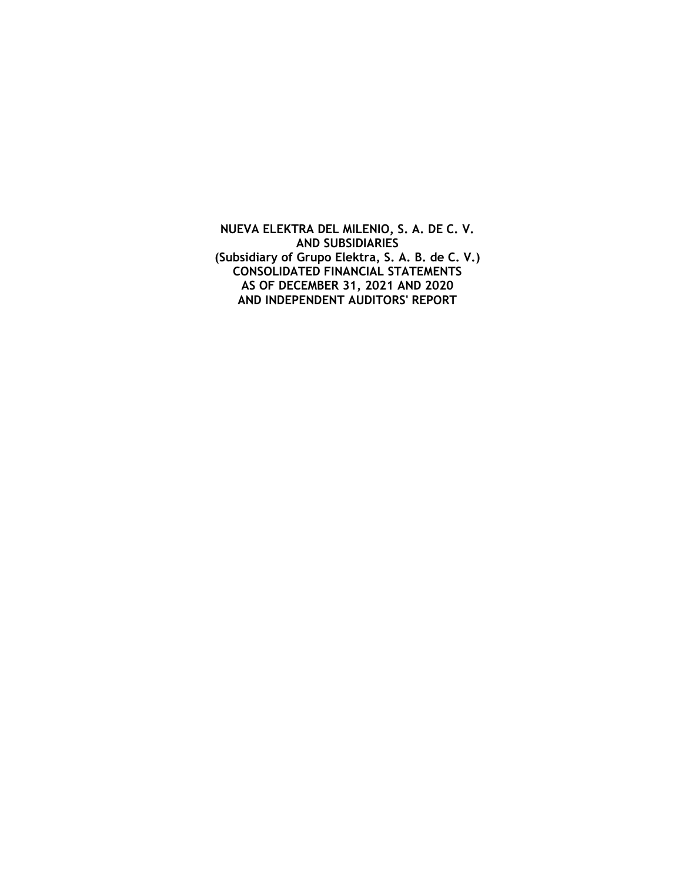**NUEVA ELEKTRA DEL MILENIO, S. A. DE C. V. AND SUBSIDIARIES (Subsidiary of Grupo Elektra, S. A. B. de C. V.) CONSOLIDATED FINANCIAL STATEMENTS AS OF DECEMBER 31, 2021 AND 2020 AND INDEPENDENT AUDITORS' REPORT**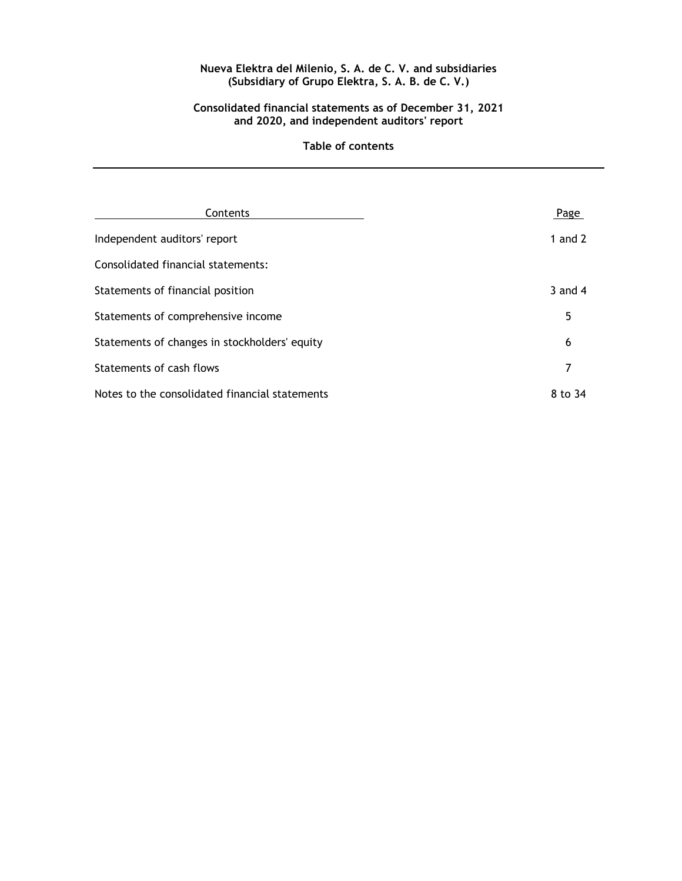#### **Consolidated financial statements as of December 31, 2021 and 2020, and independent auditors' report**

| Contents                                       | Page        |
|------------------------------------------------|-------------|
| Independent auditors' report                   | 1 and $2$   |
| Consolidated financial statements:             |             |
| Statements of financial position               | $3$ and $4$ |
| Statements of comprehensive income             | 5           |
| Statements of changes in stockholders' equity  | 6           |
| <b>Statements of cash flows</b>                | 7           |
| Notes to the consolidated financial statements | 8 to 34     |

## **Table of contents**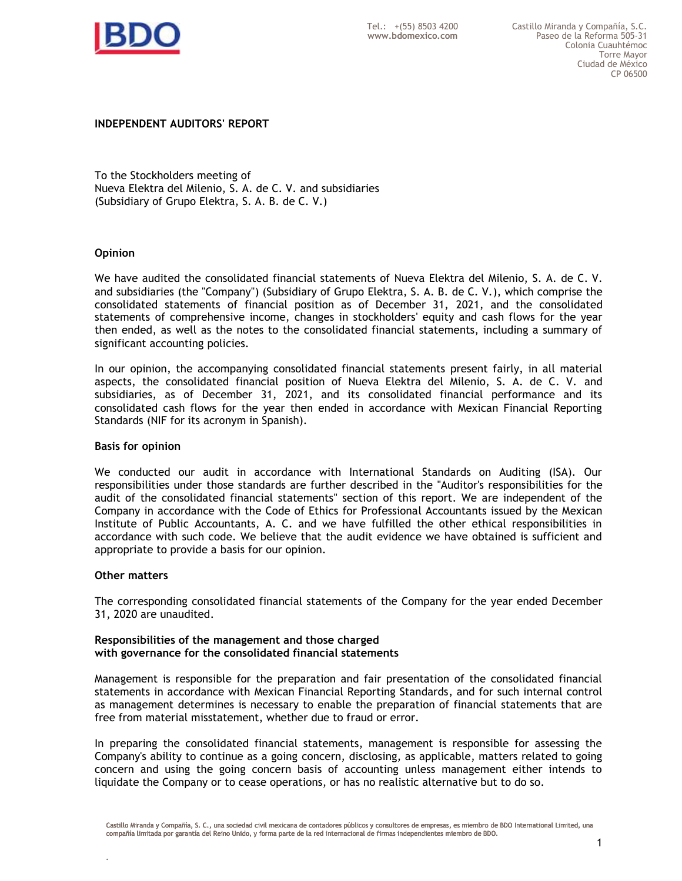

## **INDEPENDENT AUDITORS' REPORT**

To the Stockholders meeting of Nueva Elektra del Milenio, S. A. de C. V. and subsidiaries (Subsidiary of Grupo Elektra, S. A. B. de C. V.)

#### **Opinion**

We have audited the consolidated financial statements of Nueva Elektra del Milenio, S. A. de C. V. and subsidiaries (the "Company") (Subsidiary of Grupo Elektra, S. A. B. de C. V.), which comprise the consolidated statements of financial position as of December 31, 2021, and the consolidated statements of comprehensive income, changes in stockholders' equity and cash flows for the year then ended, as well as the notes to the consolidated financial statements, including a summary of significant accounting policies.

In our opinion, the accompanying consolidated financial statements present fairly, in all material aspects, the consolidated financial position of Nueva Elektra del Milenio, S. A. de C. V. and subsidiaries, as of December 31, 2021, and its consolidated financial performance and its consolidated cash flows for the year then ended in accordance with Mexican Financial Reporting Standards (NIF for its acronym in Spanish).

#### **Basis for opinion**

We conducted our audit in accordance with International Standards on Auditing (ISA). Our responsibilities under those standards are further described in the "Auditor's responsibilities for the audit of the consolidated financial statements" section of this report. We are independent of the Company in accordance with the Code of Ethics for Professional Accountants issued by the Mexican Institute of Public Accountants, A. C. and we have fulfilled the other ethical responsibilities in accordance with such code. We believe that the audit evidence we have obtained is sufficient and appropriate to provide a basis for our opinion.

## **Other matters**

.

The corresponding consolidated financial statements of the Company for the year ended December 31, 2020 are unaudited.

## **Responsibilities of the management and those charged with governance for the consolidated financial statements**

Management is responsible for the preparation and fair presentation of the consolidated financial statements in accordance with Mexican Financial Reporting Standards, and for such internal control as management determines is necessary to enable the preparation of financial statements that are free from material misstatement, whether due to fraud or error.

In preparing the consolidated financial statements, management is responsible for assessing the Company's ability to continue as a going concern, disclosing, as applicable, matters related to going concern and using the going concern basis of accounting unless management either intends to liquidate the Company or to cease operations, or has no realistic alternative but to do so.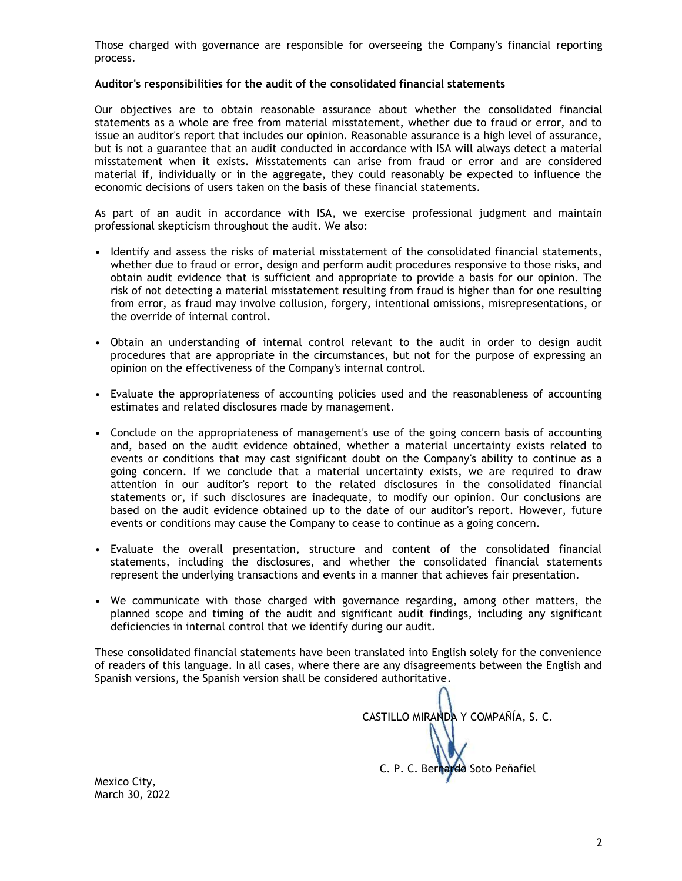Those charged with governance are responsible for overseeing the Company's financial reporting process.

#### **Auditor's responsibilities for the audit of the consolidated financial statements**

Our objectives are to obtain reasonable assurance about whether the consolidated financial statements as a whole are free from material misstatement, whether due to fraud or error, and to issue an auditor's report that includes our opinion. Reasonable assurance is a high level of assurance, but is not a guarantee that an audit conducted in accordance with ISA will always detect a material misstatement when it exists. Misstatements can arise from fraud or error and are considered material if, individually or in the aggregate, they could reasonably be expected to influence the economic decisions of users taken on the basis of these financial statements.

As part of an audit in accordance with ISA, we exercise professional judgment and maintain professional skepticism throughout the audit. We also:

- Identify and assess the risks of material misstatement of the consolidated financial statements, whether due to fraud or error, design and perform audit procedures responsive to those risks, and obtain audit evidence that is sufficient and appropriate to provide a basis for our opinion. The risk of not detecting a material misstatement resulting from fraud is higher than for one resulting from error, as fraud may involve collusion, forgery, intentional omissions, misrepresentations, or the override of internal control.
- Obtain an understanding of internal control relevant to the audit in order to design audit procedures that are appropriate in the circumstances, but not for the purpose of expressing an opinion on the effectiveness of the Company's internal control.
- Evaluate the appropriateness of accounting policies used and the reasonableness of accounting estimates and related disclosures made by management.
- Conclude on the appropriateness of management's use of the going concern basis of accounting and, based on the audit evidence obtained, whether a material uncertainty exists related to events or conditions that may cast significant doubt on the Company's ability to continue as a going concern. If we conclude that a material uncertainty exists, we are required to draw attention in our auditor's report to the related disclosures in the consolidated financial statements or, if such disclosures are inadequate, to modify our opinion. Our conclusions are based on the audit evidence obtained up to the date of our auditor's report. However, future events or conditions may cause the Company to cease to continue as a going concern.
- Evaluate the overall presentation, structure and content of the consolidated financial statements, including the disclosures, and whether the consolidated financial statements represent the underlying transactions and events in a manner that achieves fair presentation.
- We communicate with those charged with governance regarding, among other matters, the planned scope and timing of the audit and significant audit findings, including any significant deficiencies in internal control that we identify during our audit.

These consolidated financial statements have been translated into English solely for the convenience of readers of this language. In all cases, where there are any disagreements between the English and Spanish versions, the Spanish version shall be considered authoritative.

CASTILLO MIRANDA Y COMPAÑÍA, S. C. C. P. C. Bernardo Soto Peñafiel

Mexico City, March 30, 2022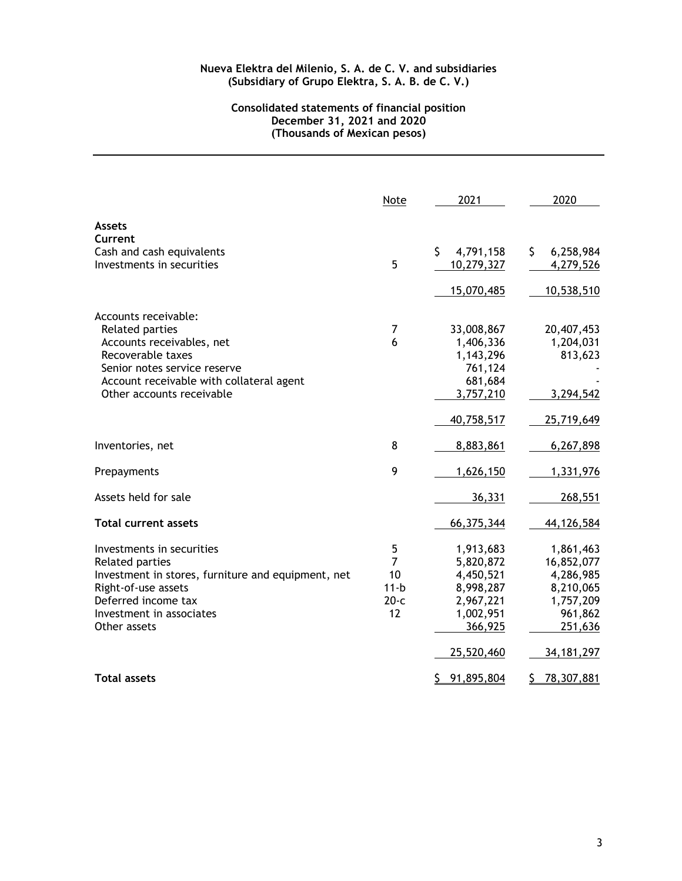#### **Consolidated statements of financial position December 31, 2021 and 2020 (Thousands of Mexican pesos)**

|                                                    | Note   | 2021                     | 2020             |
|----------------------------------------------------|--------|--------------------------|------------------|
| <b>Assets</b>                                      |        |                          |                  |
| Current                                            |        |                          |                  |
| Cash and cash equivalents                          |        | \$<br>4,791,158          | 6,258,984<br>\$. |
| Investments in securities                          | 5      | 10,279,327               | 4,279,526        |
|                                                    |        | 15,070,485               | 10,538,510       |
| Accounts receivable:                               |        |                          |                  |
| Related parties                                    | 7      | 33,008,867               | 20,407,453       |
| Accounts receivables, net                          | 6      | 1,406,336                | 1,204,031        |
| Recoverable taxes                                  |        | 1,143,296                | 813,623          |
| Senior notes service reserve                       |        | 761,124                  |                  |
| Account receivable with collateral agent           |        | 681,684                  |                  |
| Other accounts receivable                          |        | 3,757,210                | 3,294,542        |
|                                                    |        | 40,758,517               | 25,719,649       |
| Inventories, net                                   | 8      | 8,883,861                | 6,267,898        |
| Prepayments                                        | 9      | 1,626,150                | 1,331,976        |
| Assets held for sale                               |        | 36,331                   | 268,551          |
| <b>Total current assets</b>                        |        | 66,375,344               | 44,126,584       |
| Investments in securities                          | 5      | 1,913,683                | 1,861,463        |
| <b>Related parties</b>                             | 7      | 5,820,872                | 16,852,077       |
| Investment in stores, furniture and equipment, net | 10     | 4,450,521                | 4,286,985        |
| Right-of-use assets                                | $11-b$ | 8,998,287                | 8,210,065        |
| Deferred income tax                                | $20-c$ | 2,967,221                | 1,757,209        |
| Investment in associates                           | 12     | 1,002,951                | 961,862          |
| Other assets                                       |        | 366,925                  | 251,636          |
|                                                    |        | 25,520,460               | 34, 181, 297     |
| <b>Total assets</b>                                |        | 91,895,804<br><u>\$_</u> | 78,307,881<br>Ş. |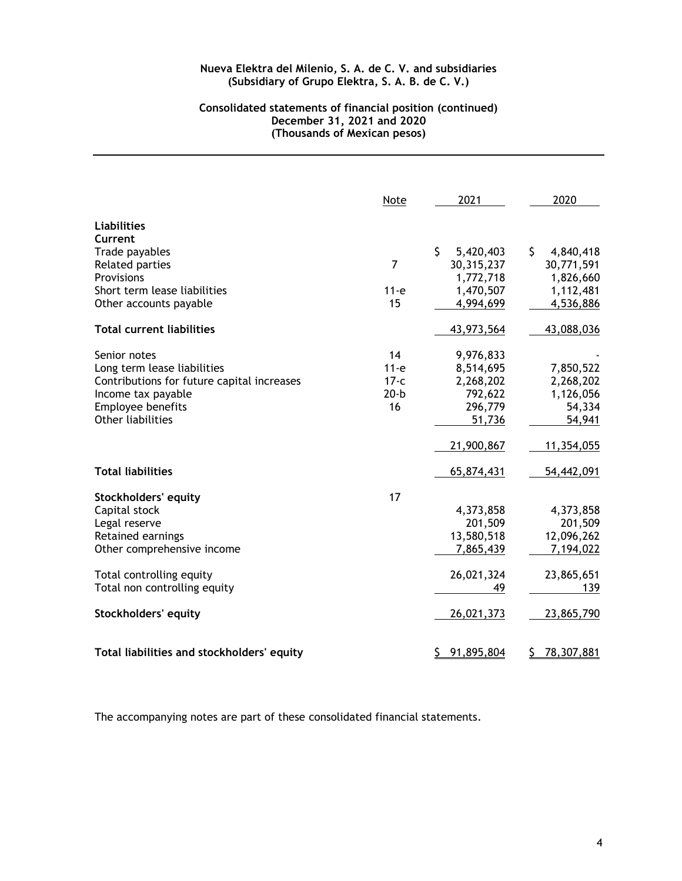#### **Consolidated statements of financial position (continued) December 31, 2021 and 2020 (Thousands of Mexican pesos)**

|                                            | Note   | 2021             | 2020             |
|--------------------------------------------|--------|------------------|------------------|
| <b>Liabilities</b>                         |        |                  |                  |
| Current                                    |        |                  |                  |
| Trade payables                             |        | \$<br>5,420,403  | \$<br>4,840,418  |
| Related parties                            | 7      | 30,315,237       | 30,771,591       |
| Provisions                                 |        | 1,772,718        | 1,826,660        |
| Short term lease liabilities               | $11-e$ | 1,470,507        | 1,112,481        |
| Other accounts payable                     | 15     | 4,994,699        | 4,536,886        |
| <b>Total current liabilities</b>           |        | 43,973,564       | 43,088,036       |
| Senior notes                               | 14     | 9,976,833        |                  |
| Long term lease liabilities                | $11-e$ | 8,514,695        | 7,850,522        |
| Contributions for future capital increases | $17-c$ | 2,268,202        | 2,268,202        |
| Income tax payable                         | $20-b$ | 792,622          | 1,126,056        |
| Employee benefits                          | 16     | 296,779          | 54,334           |
| Other liabilities                          |        | 51,736           | 54,941           |
|                                            |        | 21,900,867       | 11,354,055       |
| <b>Total liabilities</b>                   |        | 65,874,431       | 54,442,091       |
| Stockholders' equity                       | 17     |                  |                  |
| Capital stock                              |        | 4,373,858        | 4,373,858        |
| Legal reserve                              |        | 201,509          | 201,509          |
| Retained earnings                          |        | 13,580,518       | 12,096,262       |
| Other comprehensive income                 |        | 7,865,439        | 7,194,022        |
| Total controlling equity                   |        | 26,021,324       | 23,865,651       |
| Total non controlling equity               |        | 49               | 139              |
| Stockholders' equity                       |        | 26,021,373       | 23,865,790       |
| Total liabilities and stockholders' equity |        | 91,895,804<br>\$ | \$<br>78,307,881 |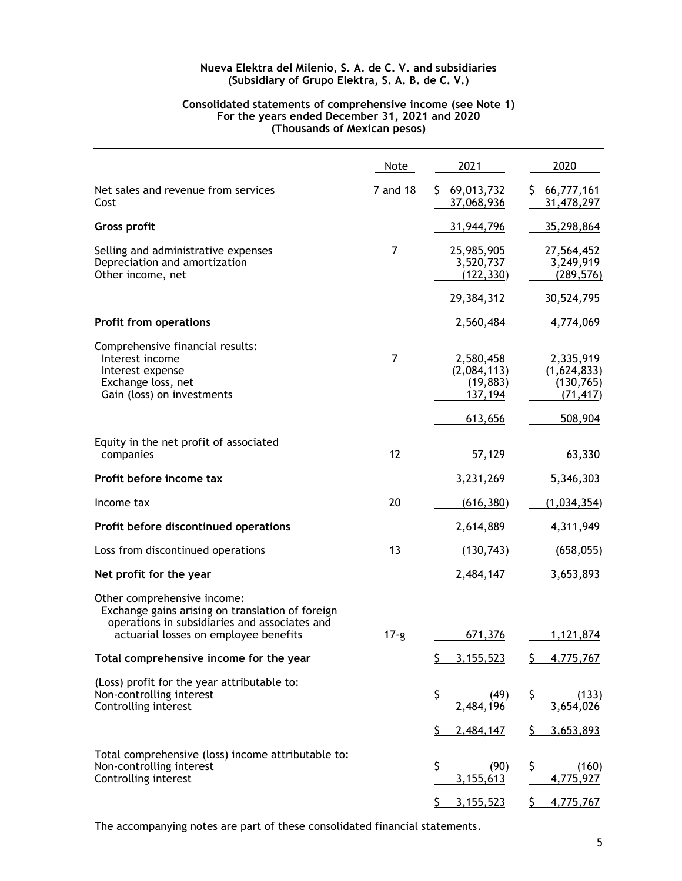#### **Consolidated statements of comprehensive income (see Note 1) For the years ended December 31, 2021 and 2020 (Thousands of Mexican pesos)**

|                                                                                                                                                                           | Note     | 2021                                                        | 2020                                                           |
|---------------------------------------------------------------------------------------------------------------------------------------------------------------------------|----------|-------------------------------------------------------------|----------------------------------------------------------------|
| Net sales and revenue from services<br>Cost                                                                                                                               | 7 and 18 | \$69,013,732<br>37,068,936                                  | \$66,777,161<br>31,478,297                                     |
| <b>Gross profit</b>                                                                                                                                                       |          | 31,944,796                                                  | 35,298,864                                                     |
| Selling and administrative expenses<br>Depreciation and amortization<br>Other income, net                                                                                 | 7        | 25,985,905<br>3,520,737<br>(122, 330)                       | 27,564,452<br>3,249,919<br>(289, 576)                          |
|                                                                                                                                                                           |          | 29,384,312                                                  | 30,524,795                                                     |
| <b>Profit from operations</b>                                                                                                                                             |          | 2,560,484                                                   | 4,774,069                                                      |
| Comprehensive financial results:<br>Interest income<br>Interest expense<br>Exchange loss, net<br>Gain (loss) on investments                                               | 7        | 2,580,458<br>(2,084,113)<br>(19, 883)<br>137,194<br>613,656 | 2,335,919<br>(1,624,833)<br>(130, 765)<br>(71, 417)<br>508,904 |
| Equity in the net profit of associated<br>companies                                                                                                                       | 12       | 57,129                                                      | 63,330                                                         |
| Profit before income tax                                                                                                                                                  |          | 3,231,269                                                   | 5,346,303                                                      |
| Income tax                                                                                                                                                                | 20       | (616, 380)                                                  | (1,034,354)                                                    |
| Profit before discontinued operations                                                                                                                                     |          | 2,614,889                                                   | 4,311,949                                                      |
| Loss from discontinued operations                                                                                                                                         | 13       | (130, 743)                                                  | (658, 055)                                                     |
| Net profit for the year                                                                                                                                                   |          | 2,484,147                                                   | 3,653,893                                                      |
| Other comprehensive income:<br>Exchange gains arising on translation of foreign<br>operations in subsidiaries and associates and<br>actuarial losses on employee benefits | $17-g$   | 671,376                                                     | 1,121,874                                                      |
| Total comprehensive income for the year                                                                                                                                   |          | \$<br>3,155,523                                             | \$<br>4,775,767                                                |
| (Loss) profit for the year attributable to:<br>Non-controlling interest<br>Controlling interest                                                                           |          | \$<br>(49)<br>2,484,196<br>2,484,147                        | \$<br>(133)<br>3,654,026<br>\$<br>3,653,893                    |
| Total comprehensive (loss) income attributable to:<br>Non-controlling interest<br>Controlling interest                                                                    |          | \$<br>(90)<br>3,155,613<br>\$<br>3,155,523                  | \$<br>(160)<br>4,775,927<br>\$<br>4,775,767                    |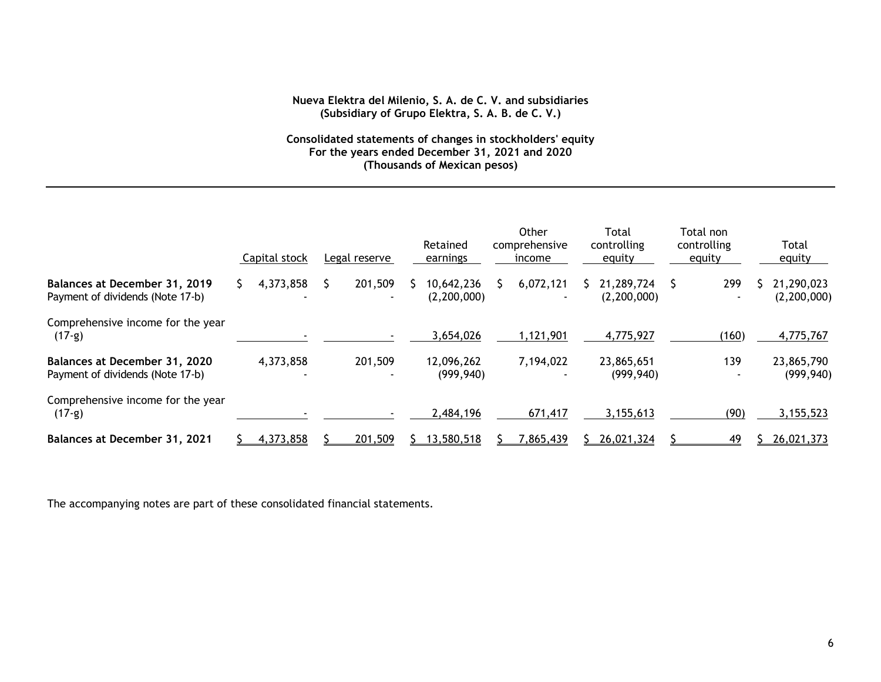**Consolidated statements of changes in stockholders' equity For the years ended December 31, 2021 and 2020 (Thousands of Mexican pesos)**

|                                                                   | Capital stock | Legal reserve | Retained<br>earnings      | Other<br>comprehensive<br>income | Total<br>controlling<br>equity | Total non<br>controlling<br>equity | Total<br>equity           |
|-------------------------------------------------------------------|---------------|---------------|---------------------------|----------------------------------|--------------------------------|------------------------------------|---------------------------|
| Balances at December 31, 2019<br>Payment of dividends (Note 17-b) | 4,373,858     | 201,509       | 10,642,236<br>(2,200,000) | 6,072,121                        | 21,289,724<br>╰<br>(2,200,000) | 299                                | 21,290,023<br>(2,200,000) |
| Comprehensive income for the year<br>$(17-g)$                     |               |               | 3,654,026                 | 1,121,901                        | 4,775,927                      | (160)                              | 4,775,767                 |
| Balances at December 31, 2020<br>Payment of dividends (Note 17-b) | 4,373,858     | 201,509       | 12,096,262<br>(999, 940)  | 7,194,022                        | 23,865,651<br>(999, 940)       | 139                                | 23,865,790<br>(999, 940)  |
| Comprehensive income for the year<br>$(17-g)$                     |               |               | 2,484,196                 | 671,417                          | 3,155,613                      | (90)                               | 3, 155, 523               |
| Balances at December 31, 2021                                     | 4,373,858     | 201,509       | 13,580,518                | 7,865,439                        | 26,021,324                     | 49                                 | 26,021,373                |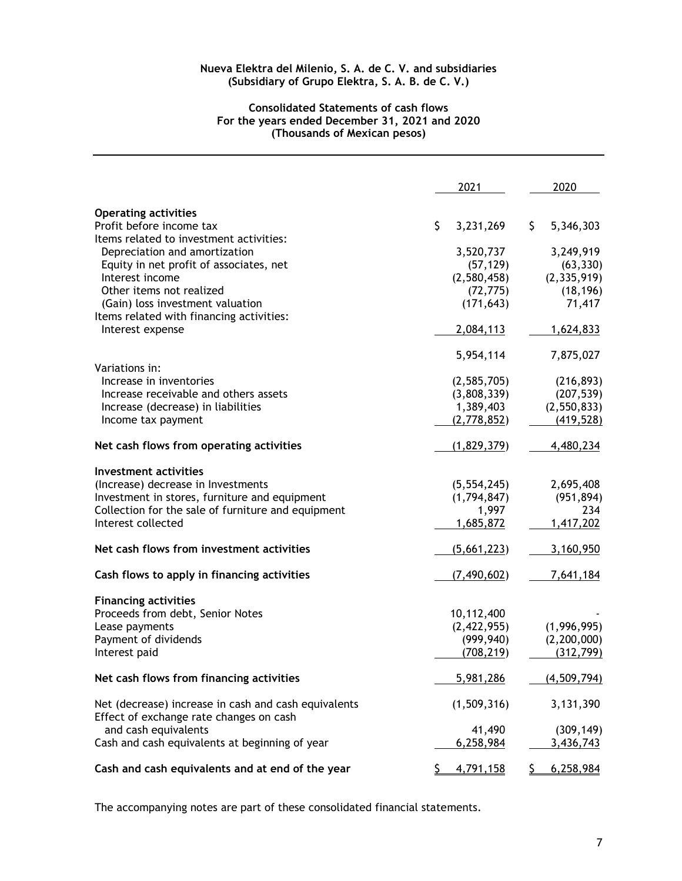# **Consolidated Statements of cash flows For the years ended December 31, 2021 and 2020 (Thousands of Mexican pesos)**

|                                                      | 2021            |     | 2020          |
|------------------------------------------------------|-----------------|-----|---------------|
| <b>Operating activities</b>                          |                 |     |               |
| Profit before income tax                             | \$<br>3,231,269 | \$. | 5,346,303     |
| Items related to investment activities:              |                 |     |               |
| Depreciation and amortization                        | 3,520,737       |     | 3,249,919     |
| Equity in net profit of associates, net              | (57, 129)       |     | (63, 330)     |
| Interest income                                      | (2,580,458)     |     | (2, 335, 919) |
| Other items not realized                             | (72, 775)       |     | (18, 196)     |
| (Gain) loss investment valuation                     | (171, 643)      |     | 71,417        |
| Items related with financing activities:             |                 |     |               |
| Interest expense                                     | 2,084,113       |     | 1,624,833     |
|                                                      | 5,954,114       |     | 7,875,027     |
| Variations in:                                       |                 |     |               |
| Increase in inventories                              | (2,585,705)     |     | (216, 893)    |
| Increase receivable and others assets                | (3,808,339)     |     | (207, 539)    |
| Increase (decrease) in liabilities                   | 1,389,403       |     | (2, 550, 833) |
| Income tax payment                                   | (2,778,852)     |     | (419, 528)    |
| Net cash flows from operating activities             | (1,829,379)     |     | 4,480,234     |
| Investment activities                                |                 |     |               |
| (Increase) decrease in Investments                   | (5, 554, 245)   |     | 2,695,408     |
| Investment in stores, furniture and equipment        | (1,794,847)     |     | (951, 894)    |
| Collection for the sale of furniture and equipment   | 1,997           |     | 234           |
| Interest collected                                   | 1,685,872       |     | 1,417,202     |
| Net cash flows from investment activities            | (5,661,223)     |     | 3,160,950     |
| Cash flows to apply in financing activities          | (7, 490, 602)   |     | 7,641,184     |
| <b>Financing activities</b>                          |                 |     |               |
| Proceeds from debt, Senior Notes                     | 10,112,400      |     |               |
| Lease payments                                       | (2,422,955)     |     | (1,996,995)   |
| Payment of dividends                                 | (999, 940)      |     | (2, 200, 000) |
| Interest paid                                        | (708, 219)      |     | (312, 799)    |
| Net cash flows from financing activities             | 5,981,286       |     | (4, 509, 794) |
| Net (decrease) increase in cash and cash equivalents | (1,509,316)     |     | 3,131,390     |
| Effect of exchange rate changes on cash              |                 |     |               |
| and cash equivalents                                 | 41,490          |     | (309, 149)    |
| Cash and cash equivalents at beginning of year       | 6,258,984       |     | 3,436,743     |
| Cash and cash equivalents and at end of the year     | 4,791,158       |     | 6,258,984     |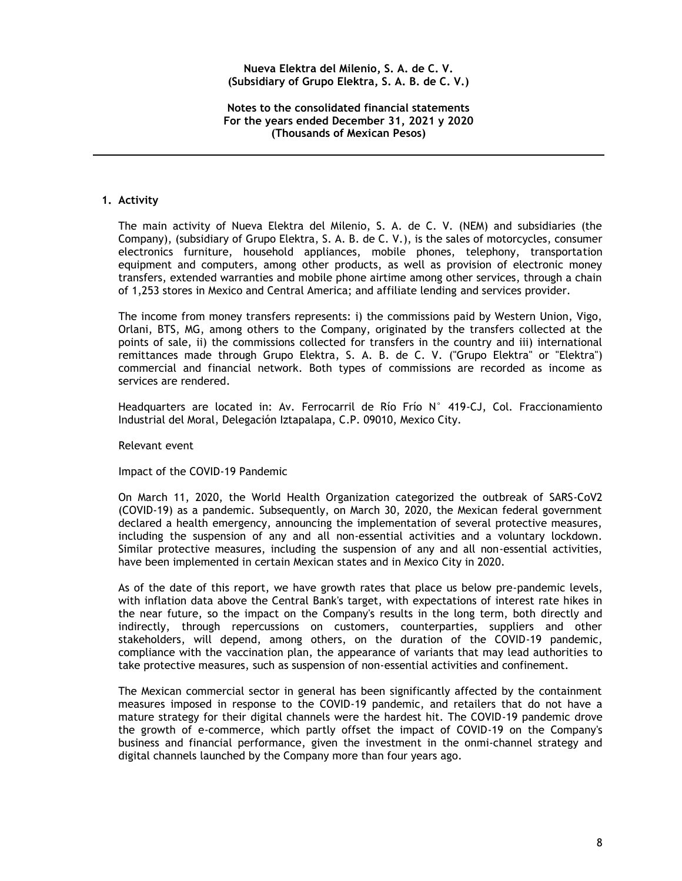#### **Notes to the consolidated financial statements For the years ended December 31, 2021 y 2020 (Thousands of Mexican Pesos)**

## **1. Activity**

The main activity of Nueva Elektra del Milenio, S. A. de C. V. (NEM) and subsidiaries (the Company), (subsidiary of Grupo Elektra, S. A. B. de C. V.), is the sales of motorcycles, consumer electronics furniture, household appliances, mobile phones, telephony, transportation equipment and computers, among other products, as well as provision of electronic money transfers, extended warranties and mobile phone airtime among other services, through a chain of 1,253 stores in Mexico and Central America; and affiliate lending and services provider.

The income from money transfers represents: i) the commissions paid by Western Union, Vigo, Orlani, BTS, MG, among others to the Company, originated by the transfers collected at the points of sale, ii) the commissions collected for transfers in the country and iii) international remittances made through Grupo Elektra, S. A. B. de C. V. ("Grupo Elektra" or "Elektra") commercial and financial network. Both types of commissions are recorded as income as services are rendered.

Headquarters are located in: Av. Ferrocarril de Río Frío N° 419-CJ, Col. Fraccionamiento Industrial del Moral, Delegación Iztapalapa, C.P. 09010, Mexico City.

Relevant event

Impact of the COVID-19 Pandemic

On March 11, 2020, the World Health Organization categorized the outbreak of SARS-CoV2 (COVID-19) as a pandemic. Subsequently, on March 30, 2020, the Mexican federal government declared a health emergency, announcing the implementation of several protective measures, including the suspension of any and all non-essential activities and a voluntary lockdown. Similar protective measures, including the suspension of any and all non-essential activities, have been implemented in certain Mexican states and in Mexico City in 2020.

As of the date of this report, we have growth rates that place us below pre-pandemic levels, with inflation data above the Central Bank's target, with expectations of interest rate hikes in the near future, so the impact on the Company's results in the long term, both directly and indirectly, through repercussions on customers, counterparties, suppliers and other stakeholders, will depend, among others, on the duration of the COVID-19 pandemic, compliance with the vaccination plan, the appearance of variants that may lead authorities to take protective measures, such as suspension of non-essential activities and confinement.

The Mexican commercial sector in general has been significantly affected by the containment measures imposed in response to the COVID-19 pandemic, and retailers that do not have a mature strategy for their digital channels were the hardest hit. The COVID-19 pandemic drove the growth of e-commerce, which partly offset the impact of COVID-19 on the Company's business and financial performance, given the investment in the onmi-channel strategy and digital channels launched by the Company more than four years ago.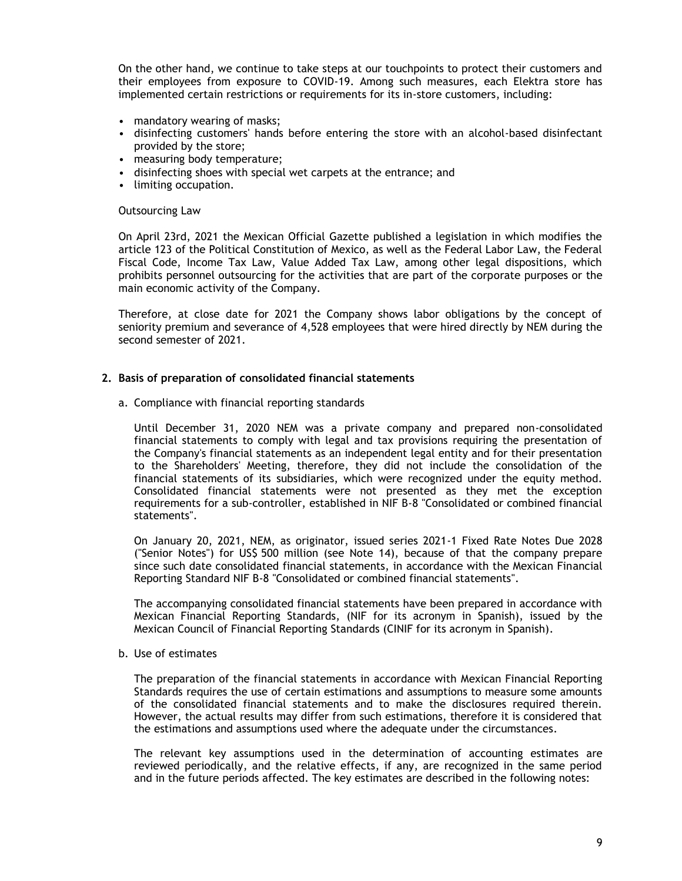On the other hand, we continue to take steps at our touchpoints to protect their customers and their employees from exposure to COVID-19. Among such measures, each Elektra store has implemented certain restrictions or requirements for its in-store customers, including:

- mandatory wearing of masks;
- disinfecting customers' hands before entering the store with an alcohol-based disinfectant provided by the store;
- measuring body temperature;
- disinfecting shoes with special wet carpets at the entrance; and
- limiting occupation.

#### Outsourcing Law

On April 23rd, 2021 the Mexican Official Gazette published a legislation in which modifies the article 123 of the Political Constitution of Mexico, as well as the Federal Labor Law, the Federal Fiscal Code, Income Tax Law, Value Added Tax Law, among other legal dispositions, which prohibits personnel outsourcing for the activities that are part of the corporate purposes or the main economic activity of the Company.

Therefore, at close date for 2021 the Company shows labor obligations by the concept of seniority premium and severance of 4,528 employees that were hired directly by NEM during the second semester of 2021.

#### **2. Basis of preparation of consolidated financial statements**

a. Compliance with financial reporting standards

Until December 31, 2020 NEM was a private company and prepared non-consolidated financial statements to comply with legal and tax provisions requiring the presentation of the Company's financial statements as an independent legal entity and for their presentation to the Shareholders' Meeting, therefore, they did not include the consolidation of the financial statements of its subsidiaries, which were recognized under the equity method. Consolidated financial statements were not presented as they met the exception requirements for a sub-controller, established in NIF B-8 "Consolidated or combined financial statements".

On January 20, 2021, NEM, as originator, issued series 2021-1 Fixed Rate Notes Due 2028 ("Senior Notes") for US\$ 500 million (see Note 14), because of that the company prepare since such date consolidated financial statements, in accordance with the Mexican Financial Reporting Standard NIF B-8 "Consolidated or combined financial statements".

The accompanying consolidated financial statements have been prepared in accordance with Mexican Financial Reporting Standards, (NIF for its acronym in Spanish), issued by the Mexican Council of Financial Reporting Standards (CINIF for its acronym in Spanish).

## b. Use of estimates

The preparation of the financial statements in accordance with Mexican Financial Reporting Standards requires the use of certain estimations and assumptions to measure some amounts of the consolidated financial statements and to make the disclosures required therein. However, the actual results may differ from such estimations, therefore it is considered that the estimations and assumptions used where the adequate under the circumstances.

The relevant key assumptions used in the determination of accounting estimates are reviewed periodically, and the relative effects, if any, are recognized in the same period and in the future periods affected. The key estimates are described in the following notes: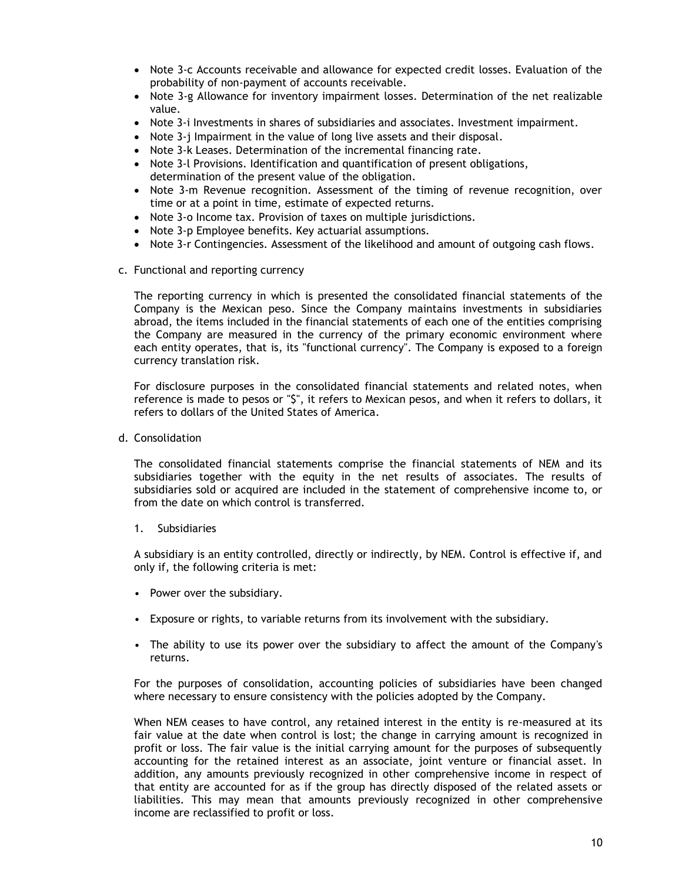- Note 3-c Accounts receivable and allowance for expected credit losses. Evaluation of the probability of non-payment of accounts receivable.
- Note 3-g Allowance for inventory impairment losses. Determination of the net realizable value.
- Note 3-i Investments in shares of subsidiaries and associates. Investment impairment.
- Note 3-j Impairment in the value of long live assets and their disposal.
- Note 3-k Leases. Determination of the incremental financing rate.
- Note 3-l Provisions. Identification and quantification of present obligations, determination of the present value of the obligation.
- Note 3-m Revenue recognition. Assessment of the timing of revenue recognition, over time or at a point in time, estimate of expected returns.
- Note 3-o Income tax. Provision of taxes on multiple jurisdictions.
- Note 3-p Employee benefits. Key actuarial assumptions.
- Note 3-r Contingencies. Assessment of the likelihood and amount of outgoing cash flows.
- c. Functional and reporting currency

The reporting currency in which is presented the consolidated financial statements of the Company is the Mexican peso. Since the Company maintains investments in subsidiaries abroad, the items included in the financial statements of each one of the entities comprising the Company are measured in the currency of the primary economic environment where each entity operates, that is, its "functional currency". The Company is exposed to a foreign currency translation risk.

For disclosure purposes in the consolidated financial statements and related notes, when reference is made to pesos or "\$", it refers to Mexican pesos, and when it refers to dollars, it refers to dollars of the United States of America.

d. Consolidation

The consolidated financial statements comprise the financial statements of NEM and its subsidiaries together with the equity in the net results of associates. The results of subsidiaries sold or acquired are included in the statement of comprehensive income to, or from the date on which control is transferred.

1. Subsidiaries

A subsidiary is an entity controlled, directly or indirectly, by NEM. Control is effective if, and only if, the following criteria is met:

- Power over the subsidiary.
- Exposure or rights, to variable returns from its involvement with the subsidiary.
- The ability to use its power over the subsidiary to affect the amount of the Company's returns.

For the purposes of consolidation, accounting policies of subsidiaries have been changed where necessary to ensure consistency with the policies adopted by the Company.

When NEM ceases to have control, any retained interest in the entity is re-measured at its fair value at the date when control is lost; the change in carrying amount is recognized in profit or loss. The fair value is the initial carrying amount for the purposes of subsequently accounting for the retained interest as an associate, joint venture or financial asset. In addition, any amounts previously recognized in other comprehensive income in respect of that entity are accounted for as if the group has directly disposed of the related assets or liabilities. This may mean that amounts previously recognized in other comprehensive income are reclassified to profit or loss.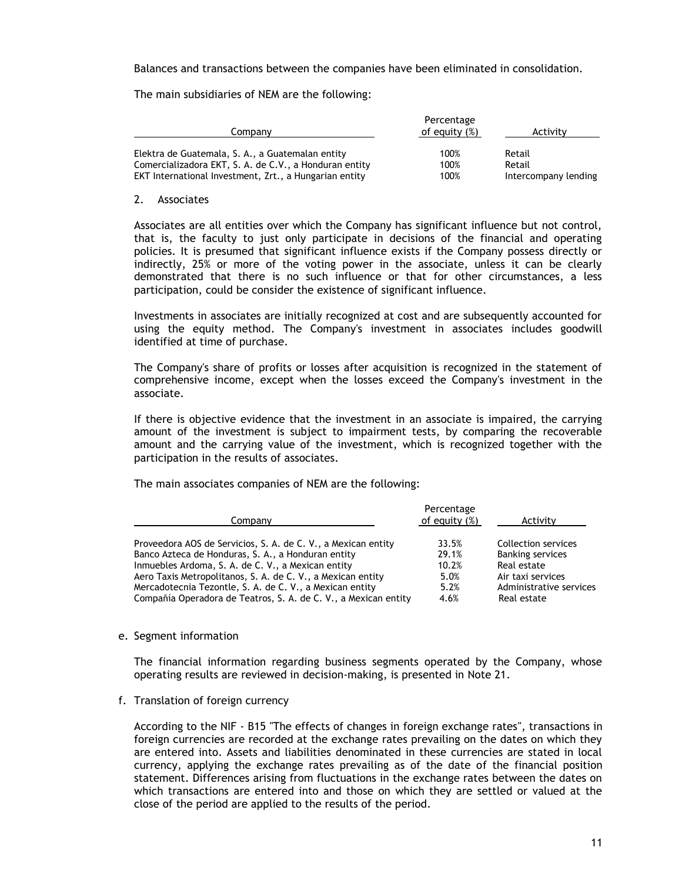Balances and transactions between the companies have been eliminated in consolidation.

The main subsidiaries of NEM are the following:

| Company                                                                                                          | Percentage<br>of equity $(\%)$ | Activity                       |
|------------------------------------------------------------------------------------------------------------------|--------------------------------|--------------------------------|
| Elektra de Guatemala, S. A., a Guatemalan entity                                                                 | 100%                           | Retail                         |
| Comercializadora EKT, S. A. de C.V., a Honduran entity<br>EKT International Investment, Zrt., a Hungarian entity | 100%<br>100%                   | Retail<br>Intercompany lending |

#### 2. Associates

Associates are all entities over which the Company has significant influence but not control, that is, the faculty to just only participate in decisions of the financial and operating policies. It is presumed that significant influence exists if the Company possess directly or indirectly, 25% or more of the voting power in the associate, unless it can be clearly demonstrated that there is no such influence or that for other circumstances, a less participation, could be consider the existence of significant influence.

Investments in associates are initially recognized at cost and are subsequently accounted for using the equity method. The Company's investment in associates includes goodwill identified at time of purchase.

The Company's share of profits or losses after acquisition is recognized in the statement of comprehensive income, except when the losses exceed the Company's investment in the associate.

If there is objective evidence that the investment in an associate is impaired, the carrying amount of the investment is subject to impairment tests, by comparing the recoverable amount and the carrying value of the investment, which is recognized together with the participation in the results of associates.

The main associates companies of NEM are the following:

| Company                                                         | Percentage<br>of equity $(\%)$ | Activity                |
|-----------------------------------------------------------------|--------------------------------|-------------------------|
| Proveedora AOS de Servicios, S. A. de C. V., a Mexican entity   | 33.5%                          | Collection services     |
| Banco Azteca de Honduras, S. A., a Honduran entity              | 29.1%                          | <b>Banking services</b> |
| Inmuebles Ardoma, S. A. de C. V., a Mexican entity              | 10.2%                          | Real estate             |
| Aero Taxis Metropolitanos, S. A. de C. V., a Mexican entity     | 5.0%                           | Air taxi services       |
| Mercadotecnia Tezontle, S. A. de C. V., a Mexican entity        | 5.2%                           | Administrative services |
| Compañía Operadora de Teatros, S. A. de C. V., a Mexican entity | 4.6%                           | Real estate             |

## e. Segment information

The financial information regarding business segments operated by the Company, whose operating results are reviewed in decision-making, is presented in Note 21.

## f. Translation of foreign currency

According to the NIF - B15 "The effects of changes in foreign exchange rates", transactions in foreign currencies are recorded at the exchange rates prevailing on the dates on which they are entered into. Assets and liabilities denominated in these currencies are stated in local currency, applying the exchange rates prevailing as of the date of the financial position statement. Differences arising from fluctuations in the exchange rates between the dates on which transactions are entered into and those on which they are settled or valued at the close of the period are applied to the results of the period.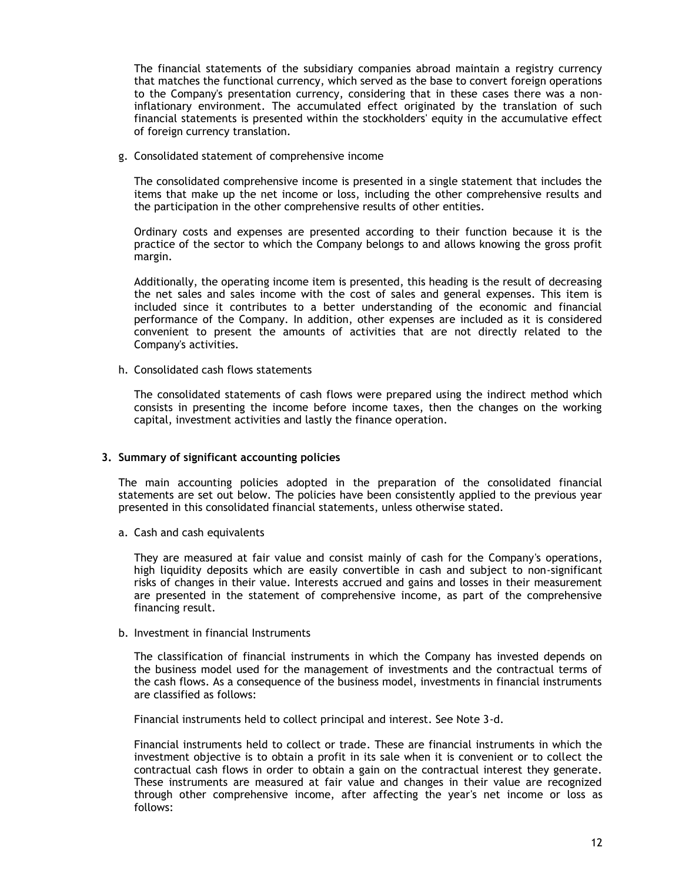The financial statements of the subsidiary companies abroad maintain a registry currency that matches the functional currency, which served as the base to convert foreign operations to the Company's presentation currency, considering that in these cases there was a noninflationary environment. The accumulated effect originated by the translation of such financial statements is presented within the stockholders' equity in the accumulative effect of foreign currency translation.

g. Consolidated statement of comprehensive income

The consolidated comprehensive income is presented in a single statement that includes the items that make up the net income or loss, including the other comprehensive results and the participation in the other comprehensive results of other entities.

Ordinary costs and expenses are presented according to their function because it is the practice of the sector to which the Company belongs to and allows knowing the gross profit margin.

Additionally, the operating income item is presented, this heading is the result of decreasing the net sales and sales income with the cost of sales and general expenses. This item is included since it contributes to a better understanding of the economic and financial performance of the Company. In addition, other expenses are included as it is considered convenient to present the amounts of activities that are not directly related to the Company's activities.

h. Consolidated cash flows statements

The consolidated statements of cash flows were prepared using the indirect method which consists in presenting the income before income taxes, then the changes on the working capital, investment activities and lastly the finance operation.

## **3. Summary of significant accounting policies**

The main accounting policies adopted in the preparation of the consolidated financial statements are set out below. The policies have been consistently applied to the previous year presented in this consolidated financial statements, unless otherwise stated.

a. Cash and cash equivalents

They are measured at fair value and consist mainly of cash for the Company's operations, high liquidity deposits which are easily convertible in cash and subject to non-significant risks of changes in their value. Interests accrued and gains and losses in their measurement are presented in the statement of comprehensive income, as part of the comprehensive financing result.

## b. Investment in financial Instruments

The classification of financial instruments in which the Company has invested depends on the business model used for the management of investments and the contractual terms of the cash flows. As a consequence of the business model, investments in financial instruments are classified as follows:

Financial instruments held to collect principal and interest. See Note 3-d.

Financial instruments held to collect or trade. These are financial instruments in which the investment objective is to obtain a profit in its sale when it is convenient or to collect the contractual cash flows in order to obtain a gain on the contractual interest they generate. These instruments are measured at fair value and changes in their value are recognized through other comprehensive income, after affecting the year's net income or loss as follows: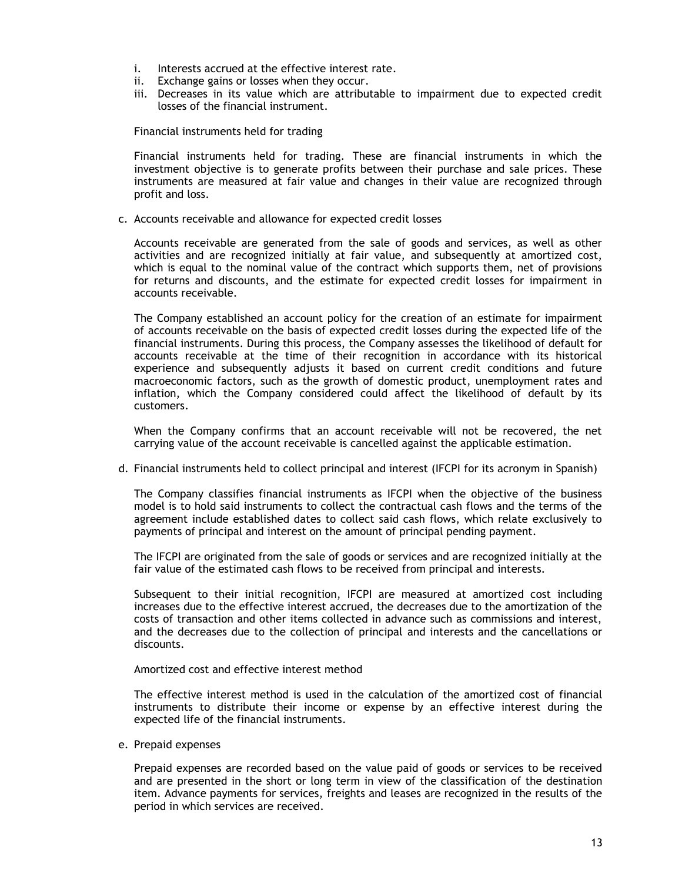- i. Interests accrued at the effective interest rate.
- ii. Exchange gains or losses when they occur.
- iii. Decreases in its value which are attributable to impairment due to expected credit losses of the financial instrument.

Financial instruments held for trading

Financial instruments held for trading. These are financial instruments in which the investment objective is to generate profits between their purchase and sale prices. These instruments are measured at fair value and changes in their value are recognized through profit and loss.

c. Accounts receivable and allowance for expected credit losses

Accounts receivable are generated from the sale of goods and services, as well as other activities and are recognized initially at fair value, and subsequently at amortized cost, which is equal to the nominal value of the contract which supports them, net of provisions for returns and discounts, and the estimate for expected credit losses for impairment in accounts receivable.

The Company established an account policy for the creation of an estimate for impairment of accounts receivable on the basis of expected credit losses during the expected life of the financial instruments. During this process, the Company assesses the likelihood of default for accounts receivable at the time of their recognition in accordance with its historical experience and subsequently adjusts it based on current credit conditions and future macroeconomic factors, such as the growth of domestic product, unemployment rates and inflation, which the Company considered could affect the likelihood of default by its customers.

When the Company confirms that an account receivable will not be recovered, the net carrying value of the account receivable is cancelled against the applicable estimation.

d. Financial instruments held to collect principal and interest (IFCPI for its acronym in Spanish)

The Company classifies financial instruments as IFCPI when the objective of the business model is to hold said instruments to collect the contractual cash flows and the terms of the agreement include established dates to collect said cash flows, which relate exclusively to payments of principal and interest on the amount of principal pending payment.

The IFCPI are originated from the sale of goods or services and are recognized initially at the fair value of the estimated cash flows to be received from principal and interests.

Subsequent to their initial recognition, IFCPI are measured at amortized cost including increases due to the effective interest accrued, the decreases due to the amortization of the costs of transaction and other items collected in advance such as commissions and interest, and the decreases due to the collection of principal and interests and the cancellations or discounts.

Amortized cost and effective interest method

The effective interest method is used in the calculation of the amortized cost of financial instruments to distribute their income or expense by an effective interest during the expected life of the financial instruments.

e. Prepaid expenses

Prepaid expenses are recorded based on the value paid of goods or services to be received and are presented in the short or long term in view of the classification of the destination item. Advance payments for services, freights and leases are recognized in the results of the period in which services are received.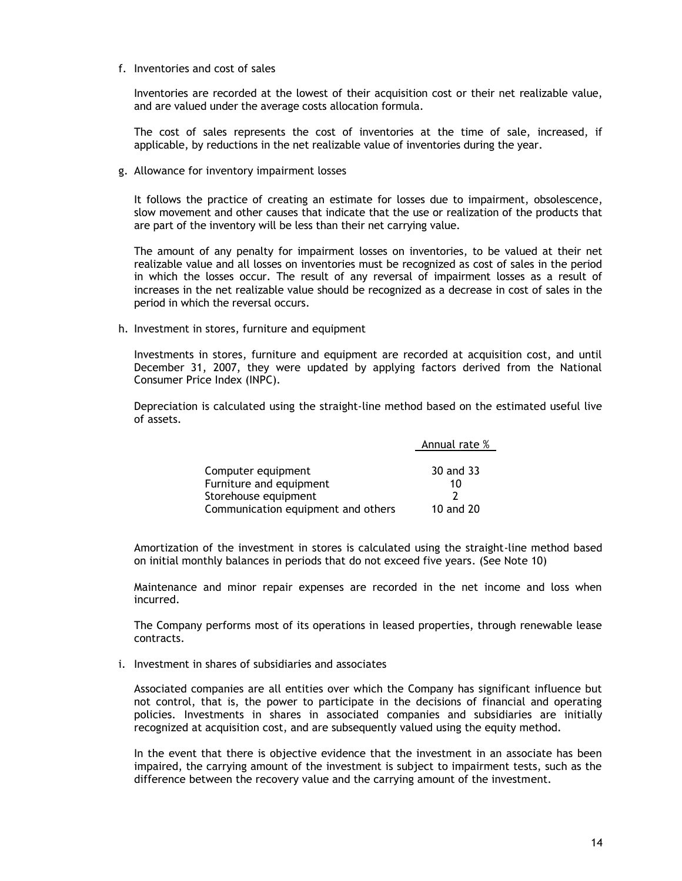f. Inventories and cost of sales

Inventories are recorded at the lowest of their acquisition cost or their net realizable value, and are valued under the average costs allocation formula.

The cost of sales represents the cost of inventories at the time of sale, increased, if applicable, by reductions in the net realizable value of inventories during the year.

g. Allowance for inventory impairment losses

It follows the practice of creating an estimate for losses due to impairment, obsolescence, slow movement and other causes that indicate that the use or realization of the products that are part of the inventory will be less than their net carrying value.

The amount of any penalty for impairment losses on inventories, to be valued at their net realizable value and all losses on inventories must be recognized as cost of sales in the period in which the losses occur. The result of any reversal of impairment losses as a result of increases in the net realizable value should be recognized as a decrease in cost of sales in the period in which the reversal occurs.

h. Investment in stores, furniture and equipment

Investments in stores, furniture and equipment are recorded at acquisition cost, and until December 31, 2007, they were updated by applying factors derived from the National Consumer Price Index (INPC).

Depreciation is calculated using the straight-line method based on the estimated useful live of assets.

|                                    | Annual rate % |
|------------------------------------|---------------|
|                                    |               |
| Computer equipment                 | 30 and 33     |
| Furniture and equipment            | 10            |
| Storehouse equipment               |               |
| Communication equipment and others | 10 and 20     |

Amortization of the investment in stores is calculated using the straight-line method based on initial monthly balances in periods that do not exceed five years. (See Note 10)

Maintenance and minor repair expenses are recorded in the net income and loss when incurred.

The Company performs most of its operations in leased properties, through renewable lease contracts.

i. Investment in shares of subsidiaries and associates

Associated companies are all entities over which the Company has significant influence but not control, that is, the power to participate in the decisions of financial and operating policies. Investments in shares in associated companies and subsidiaries are initially recognized at acquisition cost, and are subsequently valued using the equity method.

In the event that there is objective evidence that the investment in an associate has been impaired, the carrying amount of the investment is subject to impairment tests, such as the difference between the recovery value and the carrying amount of the investment.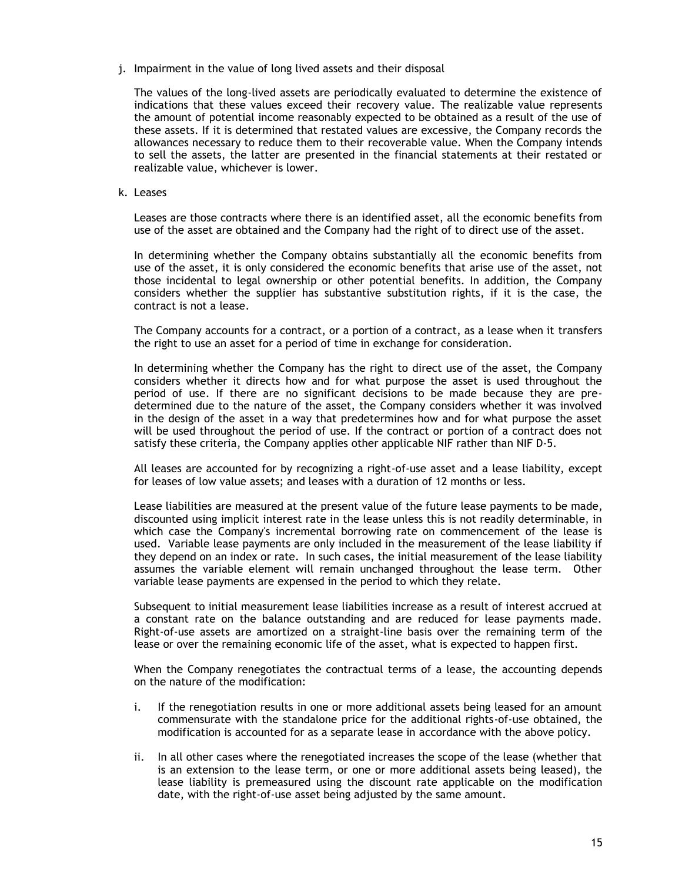j. Impairment in the value of long lived assets and their disposal

The values of the long-lived assets are periodically evaluated to determine the existence of indications that these values exceed their recovery value. The realizable value represents the amount of potential income reasonably expected to be obtained as a result of the use of these assets. If it is determined that restated values are excessive, the Company records the allowances necessary to reduce them to their recoverable value. When the Company intends to sell the assets, the latter are presented in the financial statements at their restated or realizable value, whichever is lower.

k. Leases

Leases are those contracts where there is an identified asset, all the economic benefits from use of the asset are obtained and the Company had the right of to direct use of the asset.

In determining whether the Company obtains substantially all the economic benefits from use of the asset, it is only considered the economic benefits that arise use of the asset, not those incidental to legal ownership or other potential benefits. In addition, the Company considers whether the supplier has substantive substitution rights, if it is the case, the contract is not a lease.

The Company accounts for a contract, or a portion of a contract, as a lease when it transfers the right to use an asset for a period of time in exchange for consideration.

In determining whether the Company has the right to direct use of the asset, the Company considers whether it directs how and for what purpose the asset is used throughout the period of use. If there are no significant decisions to be made because they are predetermined due to the nature of the asset, the Company considers whether it was involved in the design of the asset in a way that predetermines how and for what purpose the asset will be used throughout the period of use. If the contract or portion of a contract does not satisfy these criteria, the Company applies other applicable NIF rather than NIF D-5.

All leases are accounted for by recognizing a right-of-use asset and a lease liability, except for leases of low value assets; and leases with a duration of 12 months or less.

Lease liabilities are measured at the present value of the future lease payments to be made, discounted using implicit interest rate in the lease unless this is not readily determinable, in which case the Company's incremental borrowing rate on commencement of the lease is used. Variable lease payments are only included in the measurement of the lease liability if they depend on an index or rate. In such cases, the initial measurement of the lease liability assumes the variable element will remain unchanged throughout the lease term. Other variable lease payments are expensed in the period to which they relate.

Subsequent to initial measurement lease liabilities increase as a result of interest accrued at a constant rate on the balance outstanding and are reduced for lease payments made. Right-of-use assets are amortized on a straight-line basis over the remaining term of the lease or over the remaining economic life of the asset, what is expected to happen first.

When the Company renegotiates the contractual terms of a lease, the accounting depends on the nature of the modification:

- i. If the renegotiation results in one or more additional assets being leased for an amount commensurate with the standalone price for the additional rights-of-use obtained, the modification is accounted for as a separate lease in accordance with the above policy.
- ii. In all other cases where the renegotiated increases the scope of the lease (whether that is an extension to the lease term, or one or more additional assets being leased), the lease liability is premeasured using the discount rate applicable on the modification date, with the right-of-use asset being adjusted by the same amount.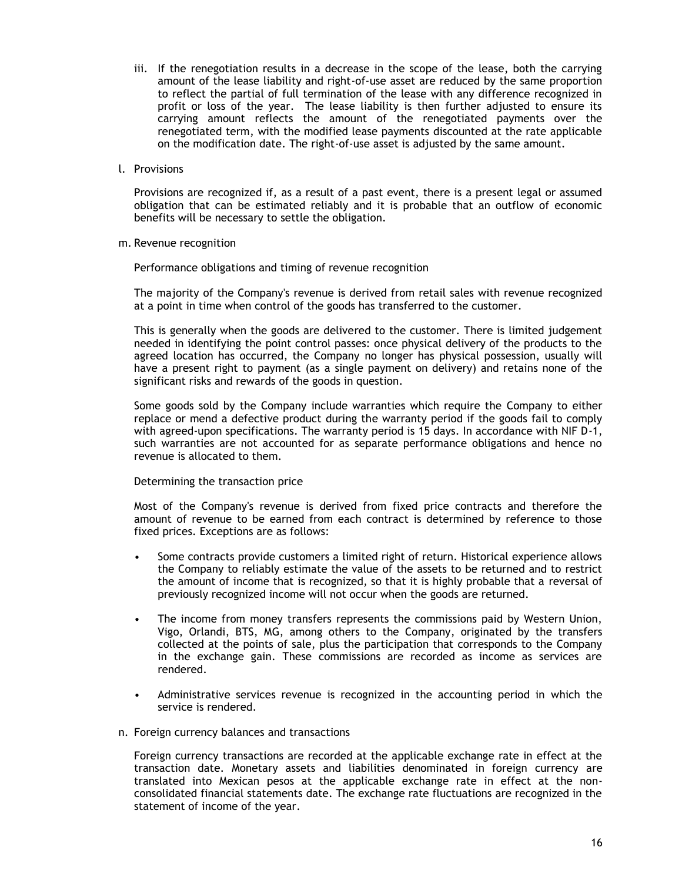- iii. If the renegotiation results in a decrease in the scope of the lease, both the carrying amount of the lease liability and right-of-use asset are reduced by the same proportion to reflect the partial of full termination of the lease with any difference recognized in profit or loss of the year. The lease liability is then further adjusted to ensure its carrying amount reflects the amount of the renegotiated payments over the renegotiated term, with the modified lease payments discounted at the rate applicable on the modification date. The right-of-use asset is adjusted by the same amount.
- l. Provisions

Provisions are recognized if, as a result of a past event, there is a present legal or assumed obligation that can be estimated reliably and it is probable that an outflow of economic benefits will be necessary to settle the obligation.

m. Revenue recognition

Performance obligations and timing of revenue recognition

The majority of the Company's revenue is derived from retail sales with revenue recognized at a point in time when control of the goods has transferred to the customer.

This is generally when the goods are delivered to the customer. There is limited judgement needed in identifying the point control passes: once physical delivery of the products to the agreed location has occurred, the Company no longer has physical possession, usually will have a present right to payment (as a single payment on delivery) and retains none of the significant risks and rewards of the goods in question.

Some goods sold by the Company include warranties which require the Company to either replace or mend a defective product during the warranty period if the goods fail to comply with agreed-upon specifications. The warranty period is 15 days. In accordance with NIF D-1, such warranties are not accounted for as separate performance obligations and hence no revenue is allocated to them.

## Determining the transaction price

Most of the Company's revenue is derived from fixed price contracts and therefore the amount of revenue to be earned from each contract is determined by reference to those fixed prices. Exceptions are as follows:

- Some contracts provide customers a limited right of return. Historical experience allows the Company to reliably estimate the value of the assets to be returned and to restrict the amount of income that is recognized, so that it is highly probable that a reversal of previously recognized income will not occur when the goods are returned.
- The income from money transfers represents the commissions paid by Western Union, Vigo, Orlandi, BTS, MG, among others to the Company, originated by the transfers collected at the points of sale, plus the participation that corresponds to the Company in the exchange gain. These commissions are recorded as income as services are rendered.
- Administrative services revenue is recognized in the accounting period in which the service is rendered.
- n. Foreign currency balances and transactions

Foreign currency transactions are recorded at the applicable exchange rate in effect at the transaction date. Monetary assets and liabilities denominated in foreign currency are translated into Mexican pesos at the applicable exchange rate in effect at the nonconsolidated financial statements date. The exchange rate fluctuations are recognized in the statement of income of the year.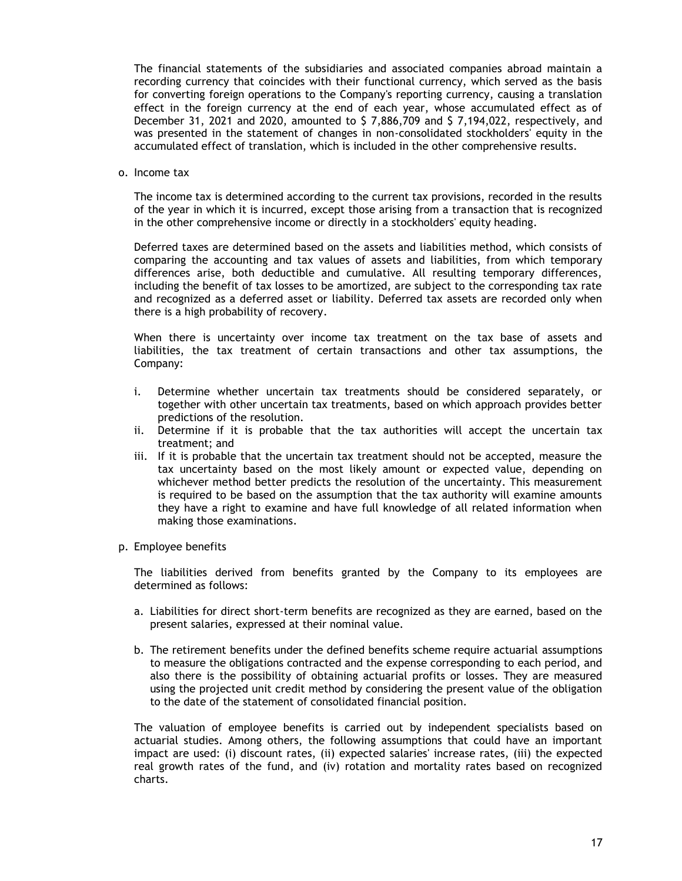The financial statements of the subsidiaries and associated companies abroad maintain a recording currency that coincides with their functional currency, which served as the basis for converting foreign operations to the Company's reporting currency, causing a translation effect in the foreign currency at the end of each year, whose accumulated effect as of December 31, 2021 and 2020, amounted to \$ 7,886,709 and \$ 7,194,022, respectively, and was presented in the statement of changes in non-consolidated stockholders' equity in the accumulated effect of translation, which is included in the other comprehensive results.

o. Income tax

The income tax is determined according to the current tax provisions, recorded in the results of the year in which it is incurred, except those arising from a transaction that is recognized in the other comprehensive income or directly in a stockholders' equity heading.

Deferred taxes are determined based on the assets and liabilities method, which consists of comparing the accounting and tax values of assets and liabilities, from which temporary differences arise, both deductible and cumulative. All resulting temporary differences, including the benefit of tax losses to be amortized, are subject to the corresponding tax rate and recognized as a deferred asset or liability. Deferred tax assets are recorded only when there is a high probability of recovery.

When there is uncertainty over income tax treatment on the tax base of assets and liabilities, the tax treatment of certain transactions and other tax assumptions, the Company:

- i. Determine whether uncertain tax treatments should be considered separately, or together with other uncertain tax treatments, based on which approach provides better predictions of the resolution.
- ii. Determine if it is probable that the tax authorities will accept the uncertain tax treatment; and
- iii. If it is probable that the uncertain tax treatment should not be accepted, measure the tax uncertainty based on the most likely amount or expected value, depending on whichever method better predicts the resolution of the uncertainty. This measurement is required to be based on the assumption that the tax authority will examine amounts they have a right to examine and have full knowledge of all related information when making those examinations.
- p. Employee benefits

The liabilities derived from benefits granted by the Company to its employees are determined as follows:

- a. Liabilities for direct short-term benefits are recognized as they are earned, based on the present salaries, expressed at their nominal value.
- b. The retirement benefits under the defined benefits scheme require actuarial assumptions to measure the obligations contracted and the expense corresponding to each period, and also there is the possibility of obtaining actuarial profits or losses. They are measured using the projected unit credit method by considering the present value of the obligation to the date of the statement of consolidated financial position.

The valuation of employee benefits is carried out by independent specialists based on actuarial studies. Among others, the following assumptions that could have an important impact are used: (i) discount rates, (ii) expected salaries' increase rates, (iii) the expected real growth rates of the fund, and (iv) rotation and mortality rates based on recognized charts.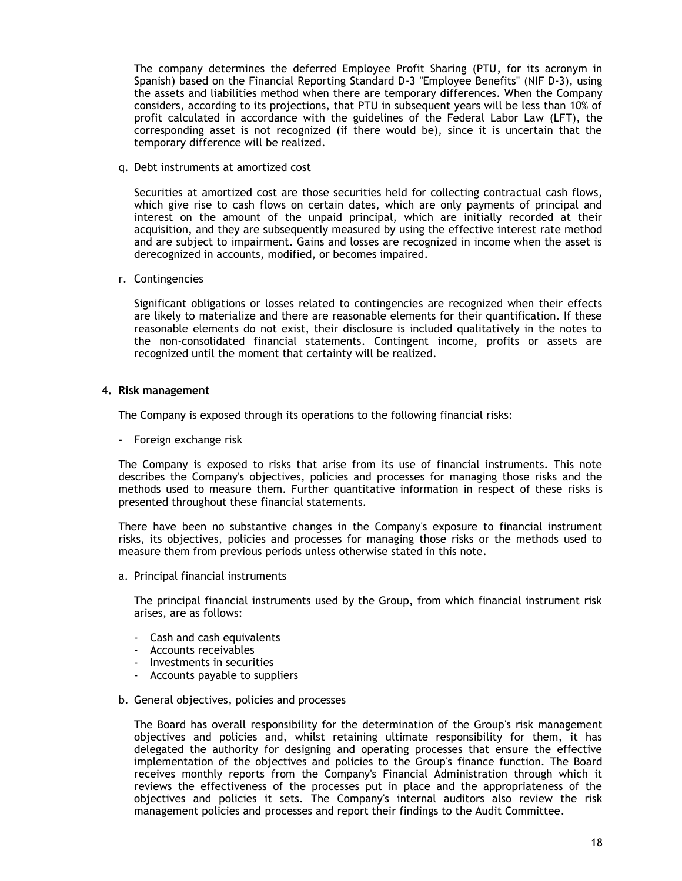The company determines the deferred Employee Profit Sharing (PTU, for its acronym in Spanish) based on the Financial Reporting Standard D-3 "Employee Benefits" (NIF D-3), using the assets and liabilities method when there are temporary differences. When the Company considers, according to its projections, that PTU in subsequent years will be less than 10% of profit calculated in accordance with the guidelines of the Federal Labor Law (LFT), the corresponding asset is not recognized (if there would be), since it is uncertain that the temporary difference will be realized.

q. Debt instruments at amortized cost

Securities at amortized cost are those securities held for collecting contractual cash flows, which give rise to cash flows on certain dates, which are only payments of principal and interest on the amount of the unpaid principal, which are initially recorded at their acquisition, and they are subsequently measured by using the effective interest rate method and are subject to impairment. Gains and losses are recognized in income when the asset is derecognized in accounts, modified, or becomes impaired.

r. Contingencies

Significant obligations or losses related to contingencies are recognized when their effects are likely to materialize and there are reasonable elements for their quantification. If these reasonable elements do not exist, their disclosure is included qualitatively in the notes to the non-consolidated financial statements. Contingent income, profits or assets are recognized until the moment that certainty will be realized.

## **4. Risk management**

The Company is exposed through its operations to the following financial risks:

- Foreign exchange risk

The Company is exposed to risks that arise from its use of financial instruments. This note describes the Company's objectives, policies and processes for managing those risks and the methods used to measure them. Further quantitative information in respect of these risks is presented throughout these financial statements.

There have been no substantive changes in the Company's exposure to financial instrument risks, its objectives, policies and processes for managing those risks or the methods used to measure them from previous periods unless otherwise stated in this note.

a. Principal financial instruments

The principal financial instruments used by the Group, from which financial instrument risk arises, are as follows:

- Cash and cash equivalents
- Accounts receivables
- Investments in securities
- Accounts payable to suppliers
- b. General objectives, policies and processes

The Board has overall responsibility for the determination of the Group's risk management objectives and policies and, whilst retaining ultimate responsibility for them, it has delegated the authority for designing and operating processes that ensure the effective implementation of the objectives and policies to the Group's finance function. The Board receives monthly reports from the Company's Financial Administration through which it reviews the effectiveness of the processes put in place and the appropriateness of the objectives and policies it sets. The Company's internal auditors also review the risk management policies and processes and report their findings to the Audit Committee.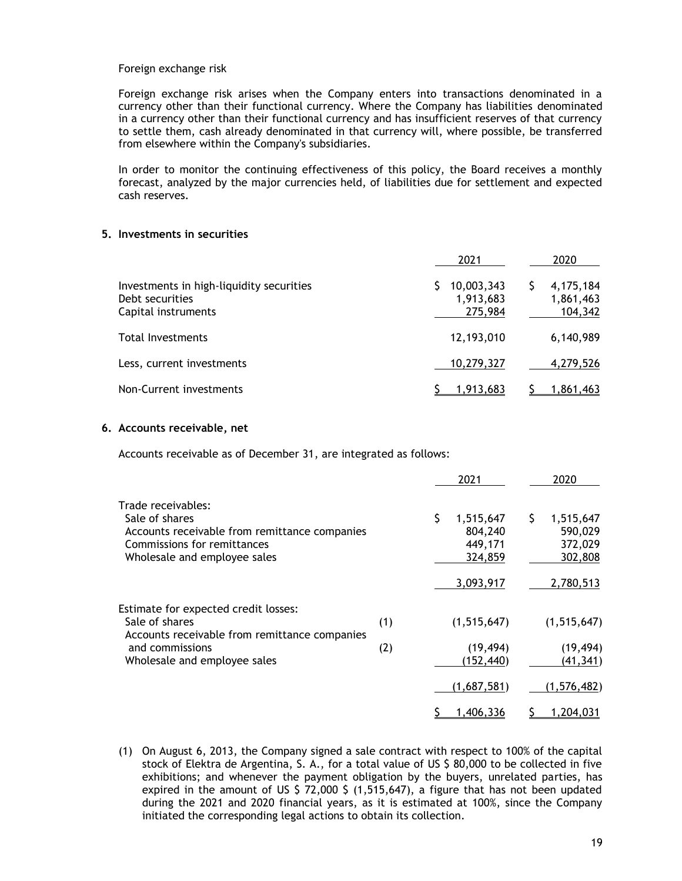#### Foreign exchange risk

Foreign exchange risk arises when the Company enters into transactions denominated in a currency other than their functional currency. Where the Company has liabilities denominated in a currency other than their functional currency and has insufficient reserves of that currency to settle them, cash already denominated in that currency will, where possible, be transferred from elsewhere within the Company's subsidiaries.

In order to monitor the continuing effectiveness of this policy, the Board receives a monthly forecast, analyzed by the major currencies held, of liabilities due for settlement and expected cash reserves.

## **5. Investments in securities**

|                                                                                    | 2021                               | 2020                              |
|------------------------------------------------------------------------------------|------------------------------------|-----------------------------------|
| Investments in high-liquidity securities<br>Debt securities<br>Capital instruments | 10,003,343<br>1,913,683<br>275,984 | 4,175,184<br>1,861,463<br>104,342 |
| <b>Total Investments</b>                                                           | 12,193,010                         | 6,140,989                         |
| Less, current investments                                                          | 10,279,327                         | 4,279,526                         |
| Non-Current investments                                                            | 1.913.683                          | 1,861,463                         |

#### **6. Accounts receivable, net**

Accounts receivable as of December 31, are integrated as follows:

|                                                                                                                                                      |     | 2021                                             | 2020                                             |
|------------------------------------------------------------------------------------------------------------------------------------------------------|-----|--------------------------------------------------|--------------------------------------------------|
| Trade receivables:<br>Sale of shares<br>Accounts receivable from remittance companies<br>Commissions for remittances<br>Wholesale and employee sales |     | \$<br>1,515,647<br>804,240<br>449,171<br>324,859 | \$<br>1,515,647<br>590,029<br>372,029<br>302,808 |
|                                                                                                                                                      |     | 3,093,917                                        | 2,780,513                                        |
| Estimate for expected credit losses:<br>Sale of shares                                                                                               | (1) | (1, 515, 647)                                    | (1, 515, 647)                                    |
| Accounts receivable from remittance companies<br>and commissions<br>Wholesale and employee sales                                                     | (2) | (19, 494)<br>(152, 440)                          | (19, 494)<br>(41, 341)                           |
|                                                                                                                                                      |     | (1,687,581)                                      | (1, 576, 482)                                    |
|                                                                                                                                                      |     | 1,406,336                                        | 1,204,031                                        |

(1) On August 6, 2013, the Company signed a sale contract with respect to 100% of the capital stock of Elektra de Argentina, S. A., for a total value of US \$ 80,000 to be collected in five exhibitions; and whenever the payment obligation by the buyers, unrelated parties, has expired in the amount of US \$ 72,000 \$  $(1,515,647)$ , a figure that has not been updated during the 2021 and 2020 financial years, as it is estimated at 100%, since the Company initiated the corresponding legal actions to obtain its collection.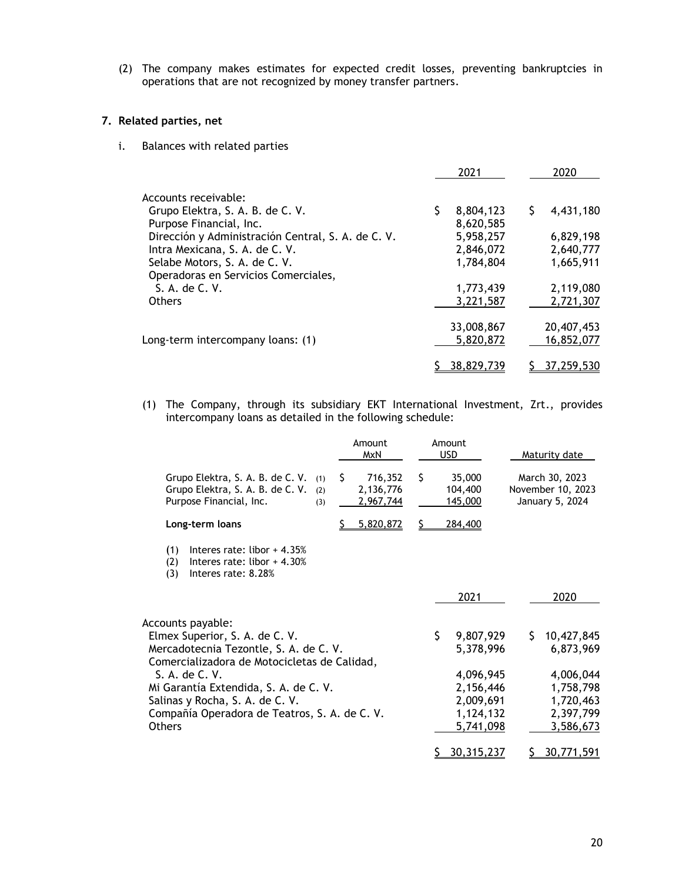(2) The company makes estimates for expected credit losses, preventing bankruptcies in operations that are not recognized by money transfer partners.

# **7. Related parties, net**

i. Balances with related parties

|                                                                       |   | 2021                   | 2020       |
|-----------------------------------------------------------------------|---|------------------------|------------|
| Accounts receivable:                                                  |   |                        |            |
| Grupo Elektra, S. A. B. de C. V.<br>Purpose Financial, Inc.           | S | 8,804,123<br>8,620,585 | 4,431,180  |
| Dirección y Administración Central, S. A. de C. V.                    |   | 5,958,257              | 6,829,198  |
| Intra Mexicana, S. A. de C. V.                                        |   | 2,846,072              | 2,640,777  |
| Selabe Motors, S. A. de C. V.<br>Operadoras en Servicios Comerciales, |   | 1,784,804              | 1,665,911  |
| S. A. de C. V.                                                        |   | 1,773,439              | 2,119,080  |
| <b>Others</b>                                                         |   | 3,221,587              | 2,721,307  |
|                                                                       |   | 33,008,867             | 20,407,453 |
| Long-term intercompany loans: (1)                                     |   | 5,820,872              | 16,852,077 |
|                                                                       |   | 38,829,739             | 37,259,530 |

(1) The Company, through its subsidiary EKT International Investment, Zrt., provides intercompany loans as detailed in the following schedule:

|                                                                                                                      | Amount<br><b>MxN</b>                   | Amount<br><b>USD</b> |                              |    | Maturity date                                          |
|----------------------------------------------------------------------------------------------------------------------|----------------------------------------|----------------------|------------------------------|----|--------------------------------------------------------|
| Grupo Elektra, S. A. B. de C. V.<br>(1)<br>Grupo Elektra, S. A. B. de C. V.<br>(2)<br>Purpose Financial, Inc.<br>(3) | S<br>716,352<br>2,136,776<br>2,967,744 | \$                   | 35,000<br>104,400<br>145,000 |    | March 30, 2023<br>November 10, 2023<br>January 5, 2024 |
| Long-term loans                                                                                                      | 5,820,872                              |                      | 284,400                      |    |                                                        |
| Interes rate: $libor + 4.35%$<br>(1)<br>Interes rate: $libor + 4.30%$<br>(2)<br>(3)<br>Interes rate: 8.28%           |                                        |                      |                              |    |                                                        |
|                                                                                                                      |                                        |                      | 2021                         |    | 2020                                                   |
| Accounts payable:                                                                                                    |                                        |                      |                              |    |                                                        |
| Elmex Superior, S. A. de C. V.                                                                                       |                                        | \$                   | 9,807,929                    | S. | 10,427,845                                             |
| Mercadotecnia Tezontle, S. A. de C. V.<br>Comercializadora de Motocicletas de Calidad,                               |                                        |                      | 5,378,996                    |    | 6,873,969                                              |
| S. A. de C. V.                                                                                                       |                                        |                      | 4,096,945                    |    | 4,006,044                                              |
| Mi Garantía Extendida, S. A. de C. V.                                                                                |                                        |                      | 2,156,446                    |    | 1,758,798                                              |
| Salinas y Rocha, S. A. de C. V.                                                                                      |                                        |                      | 2,009,691                    |    | 1,720,463                                              |
| Compañía Operadora de Teatros, S. A. de C. V.                                                                        |                                        |                      | 1,124,132                    |    | 2,397,799                                              |
| <b>Others</b>                                                                                                        |                                        |                      | 5,741,098                    |    | 3,586,673                                              |
|                                                                                                                      |                                        |                      | 30,315,237                   |    | 30,771,591                                             |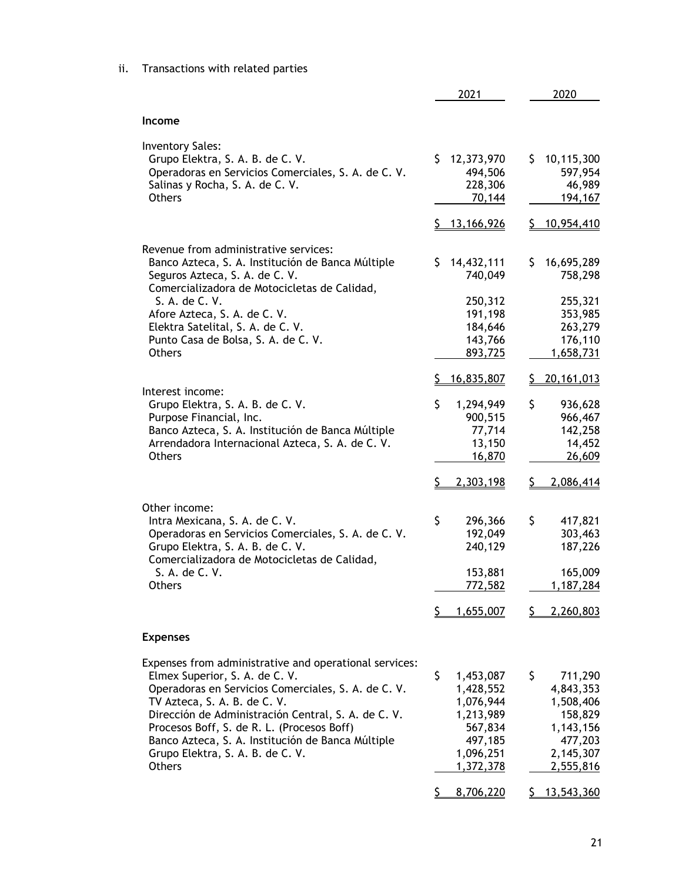# ii. Transactions with related parties

|                                                                                                                                                                                                                                                                                                                                                                                                | 2021                                                                                                                     | 2020                                                                                                                   |
|------------------------------------------------------------------------------------------------------------------------------------------------------------------------------------------------------------------------------------------------------------------------------------------------------------------------------------------------------------------------------------------------|--------------------------------------------------------------------------------------------------------------------------|------------------------------------------------------------------------------------------------------------------------|
| Income                                                                                                                                                                                                                                                                                                                                                                                         |                                                                                                                          |                                                                                                                        |
| <b>Inventory Sales:</b><br>Grupo Elektra, S. A. B. de C. V.<br>Operadoras en Servicios Comerciales, S. A. de C. V.<br>Salinas y Rocha, S. A. de C. V.<br><b>Others</b>                                                                                                                                                                                                                         | \$<br>12,373,970<br>494,506<br>228,306<br>70,144                                                                         | \$.<br>10,115,300<br>597,954<br>46,989<br>194,167                                                                      |
|                                                                                                                                                                                                                                                                                                                                                                                                | \$13,166,926                                                                                                             | 10,954,410                                                                                                             |
| Revenue from administrative services:<br>Banco Azteca, S. A. Institución de Banca Múltiple<br>Seguros Azteca, S. A. de C. V.<br>Comercializadora de Motocicletas de Calidad,<br>S. A. de C. V.<br>Afore Azteca, S. A. de C. V.<br>Elektra Satelital, S. A. de C. V.<br>Punto Casa de Bolsa, S. A. de C. V.<br><b>Others</b>                                                                    | S.<br>14,432,111<br>740,049<br>250,312<br>191,198<br>184,646<br>143,766<br>893,725                                       | 16,695,289<br>Ş.<br>758,298<br>255,321<br>353,985<br>263,279<br>176,110<br>1,658,731                                   |
| Interest income:<br>Grupo Elektra, S. A. B. de C. V.<br>Purpose Financial, Inc.<br>Banco Azteca, S. A. Institución de Banca Múltiple<br>Arrendadora Internacional Azteca, S. A. de C. V.<br>Others                                                                                                                                                                                             | 16,835,807<br>\$<br>1,294,949<br>900,515<br>77,714<br>13,150<br>16,870<br>S<br>2,303,198                                 | 20, 161, 013<br><u>S</u><br>\$<br>936,628<br>966,467<br>142,258<br>14,452<br>26,609<br>2,086,414<br>S                  |
| Other income:<br>Intra Mexicana, S. A. de C. V.<br>Operadoras en Servicios Comerciales, S. A. de C. V.<br>Grupo Elektra, S. A. B. de C. V.<br>Comercializadora de Motocicletas de Calidad,<br>S. A. de C. V.<br>Others                                                                                                                                                                         | \$<br>296,366<br>192,049<br>240,129<br>153,881<br>772,582<br>\$<br>1,655,007                                             | \$<br>417,821<br>303,463<br>187,226<br>165,009<br>1,187,284<br>2,260,803<br>\$                                         |
| <b>Expenses</b>                                                                                                                                                                                                                                                                                                                                                                                |                                                                                                                          |                                                                                                                        |
| Expenses from administrative and operational services:<br>Elmex Superior, S. A. de C. V.<br>Operadoras en Servicios Comerciales, S. A. de C. V.<br>TV Azteca, S. A. B. de C. V.<br>Dirección de Administración Central, S. A. de C. V.<br>Procesos Boff, S. de R. L. (Procesos Boff)<br>Banco Azteca, S. A. Institución de Banca Múltiple<br>Grupo Elektra, S. A. B. de C. V.<br><b>Others</b> | \$<br>1,453,087<br>1,428,552<br>1,076,944<br>1,213,989<br>567,834<br>497,185<br>1,096,251<br>1,372,378<br>S<br>8,706,220 | \$<br>711,290<br>4,843,353<br>1,508,406<br>158,829<br>1, 143, 156<br>477,203<br>2,145,307<br>2,555,816<br>\$13,543,360 |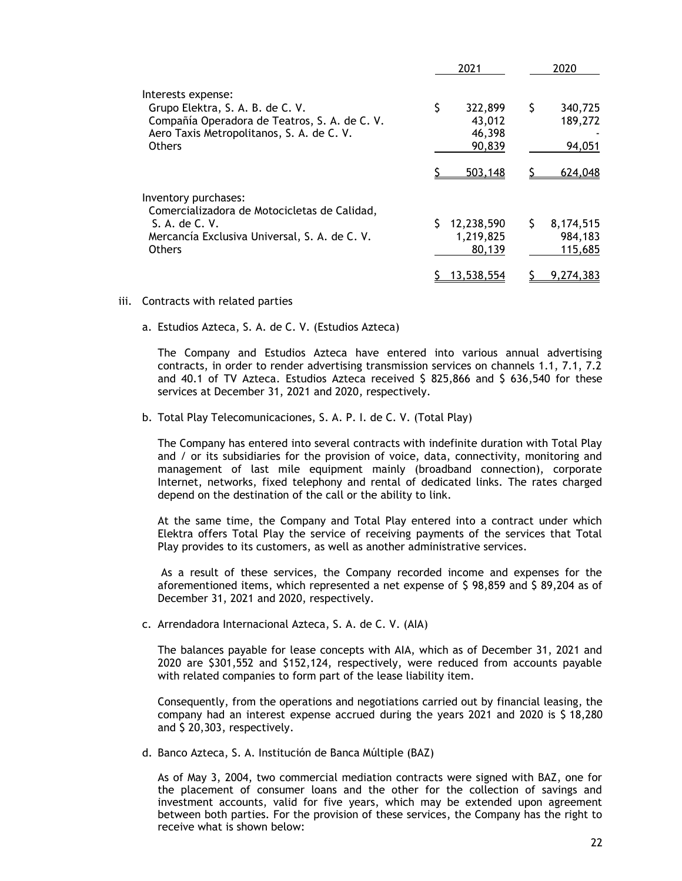|                                                                                                                                                                       | 2021                                        | 2020                                 |
|-----------------------------------------------------------------------------------------------------------------------------------------------------------------------|---------------------------------------------|--------------------------------------|
| Interests expense:<br>Grupo Elektra, S. A. B. de C. V.<br>Compañía Operadora de Teatros, S. A. de C. V.<br>Aero Taxis Metropolitanos, S. A. de C. V.<br><b>Others</b> | \$<br>322,899<br>43,012<br>46,398<br>90,839 | \$<br>340,725<br>189,272<br>94,051   |
|                                                                                                                                                                       | 503,148                                     | 624,048                              |
| Inventory purchases:<br>Comercializadora de Motocicletas de Calidad,<br>S. A. de C. V.<br>Mercancía Exclusiva Universal, S. A. de C. V.<br><b>Others</b>              | 12,238,590<br>1,219,825<br>80,139           | S<br>8,174,515<br>984,183<br>115,685 |
|                                                                                                                                                                       | 13,538,554                                  | 9,274,383                            |

- iii. Contracts with related parties
	- a. Estudios Azteca, S. A. de C. V. (Estudios Azteca)

The Company and Estudios Azteca have entered into various annual advertising contracts, in order to render advertising transmission services on channels 1.1, 7.1, 7.2 and 40.1 of TV Azteca. Estudios Azteca received \$ 825,866 and \$ 636,540 for these services at December 31, 2021 and 2020, respectively.

b. Total Play Telecomunicaciones, S. A. P. I. de C. V. (Total Play)

The Company has entered into several contracts with indefinite duration with Total Play and / or its subsidiaries for the provision of voice, data, connectivity, monitoring and management of last mile equipment mainly (broadband connection), corporate Internet, networks, fixed telephony and rental of dedicated links. The rates charged depend on the destination of the call or the ability to link.

At the same time, the Company and Total Play entered into a contract under which Elektra offers Total Play the service of receiving payments of the services that Total Play provides to its customers, as well as another administrative services.

As a result of these services, the Company recorded income and expenses for the aforementioned items, which represented a net expense of \$ 98,859 and \$ 89,204 as of December 31, 2021 and 2020, respectively.

c. Arrendadora Internacional Azteca, S. A. de C. V. (AIA)

The balances payable for lease concepts with AIA, which as of December 31, 2021 and 2020 are \$301,552 and \$152,124, respectively, were reduced from accounts payable with related companies to form part of the lease liability item.

Consequently, from the operations and negotiations carried out by financial leasing, the company had an interest expense accrued during the years 2021 and 2020 is \$ 18,280 and \$ 20,303, respectively.

d. Banco Azteca, S. A. Institución de Banca Múltiple (BAZ)

As of May 3, 2004, two commercial mediation contracts were signed with BAZ, one for the placement of consumer loans and the other for the collection of savings and investment accounts, valid for five years, which may be extended upon agreement between both parties. For the provision of these services, the Company has the right to receive what is shown below: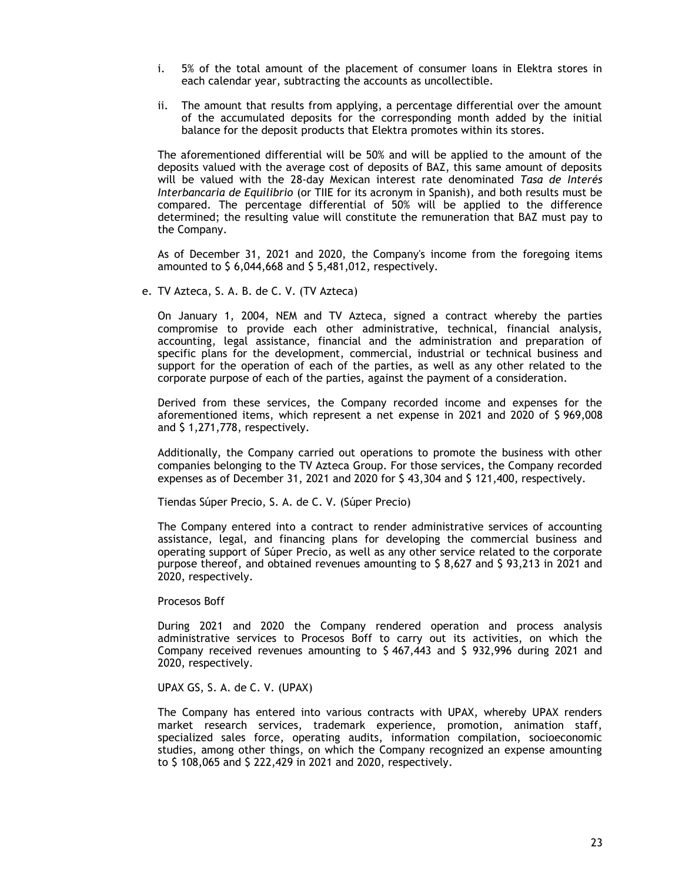- i. 5% of the total amount of the placement of consumer loans in Elektra stores in each calendar year, subtracting the accounts as uncollectible.
- ii. The amount that results from applying, a percentage differential over the amount of the accumulated deposits for the corresponding month added by the initial balance for the deposit products that Elektra promotes within its stores.

The aforementioned differential will be 50% and will be applied to the amount of the deposits valued with the average cost of deposits of BAZ, this same amount of deposits will be valued with the 28-day Mexican interest rate denominated *Tasa de Interés Interbancaria de Equilibrio* (or TIIE for its acronym in Spanish), and both results must be compared. The percentage differential of 50% will be applied to the difference determined; the resulting value will constitute the remuneration that BAZ must pay to the Company.

As of December 31, 2021 and 2020, the Company's income from the foregoing items amounted to \$ 6,044,668 and \$ 5,481,012, respectively.

e. TV Azteca, S. A. B. de C. V. (TV Azteca)

On January 1, 2004, NEM and TV Azteca, signed a contract whereby the parties compromise to provide each other administrative, technical, financial analysis, accounting, legal assistance, financial and the administration and preparation of specific plans for the development, commercial, industrial or technical business and support for the operation of each of the parties, as well as any other related to the corporate purpose of each of the parties, against the payment of a consideration.

Derived from these services, the Company recorded income and expenses for the aforementioned items, which represent a net expense in 2021 and 2020 of \$ 969,008 and \$ 1,271,778, respectively.

Additionally, the Company carried out operations to promote the business with other companies belonging to the TV Azteca Group. For those services, the Company recorded expenses as of December 31, 2021 and 2020 for \$ 43,304 and \$ 121,400, respectively.

Tiendas Súper Precio, S. A. de C. V. (Súper Precio)

The Company entered into a contract to render administrative services of accounting assistance, legal, and financing plans for developing the commercial business and operating support of Súper Precio, as well as any other service related to the corporate purpose thereof, and obtained revenues amounting to \$ 8,627 and \$ 93,213 in 2021 and 2020, respectively.

Procesos Boff

During 2021 and 2020 the Company rendered operation and process analysis administrative services to Procesos Boff to carry out its activities, on which the Company received revenues amounting to  $\frac{2}{3}$  467,443 and  $\frac{2}{3}$  932,996 during 2021 and 2020, respectively.

UPAX GS, S. A. de C. V. (UPAX)

The Company has entered into various contracts with UPAX, whereby UPAX renders market research services, trademark experience, promotion, animation staff, specialized sales force, operating audits, information compilation, socioeconomic studies, among other things, on which the Company recognized an expense amounting to \$ 108,065 and \$ 222,429 in 2021 and 2020, respectively.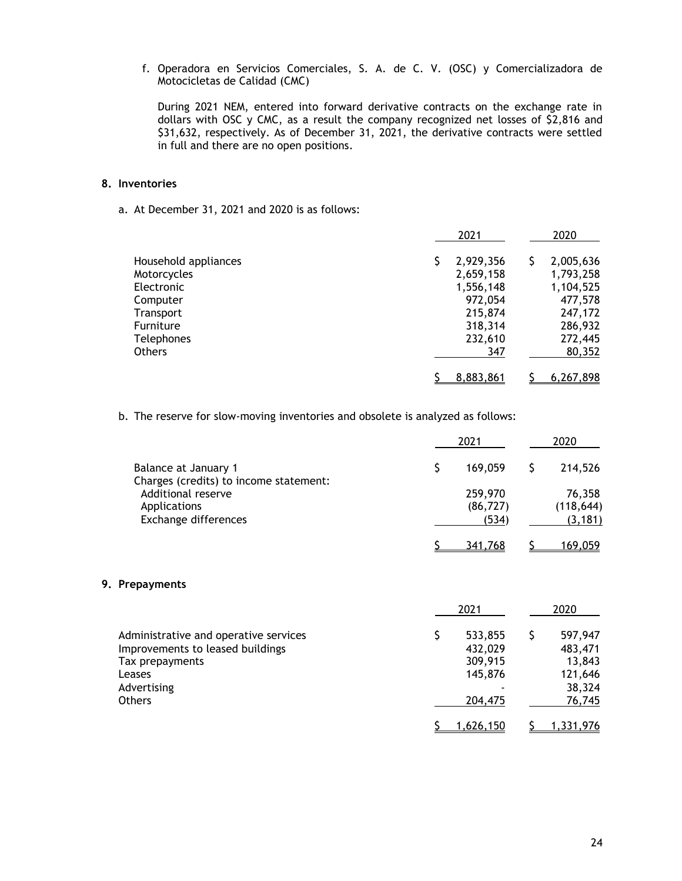f. Operadora en Servicios Comerciales, S. A. de C. V. (OSC) y Comercializadora de Motocicletas de Calidad (CMC)

During 2021 NEM, entered into forward derivative contracts on the exchange rate in dollars with OSC y CMC, as a result the company recognized net losses of \$2,816 and \$31,632, respectively. As of December 31, 2021, the derivative contracts were settled in full and there are no open positions.

# **8. Inventories**

a. At December 31, 2021 and 2020 is as follows:

|                      | 2021      | 2020      |
|----------------------|-----------|-----------|
| Household appliances | 2,929,356 | 2,005,636 |
| Motorcycles          | 2,659,158 | 1,793,258 |
| Electronic           | 1,556,148 | 1,104,525 |
| Computer             | 972,054   | 477,578   |
| Transport            | 215,874   | 247,172   |
| Furniture            | 318,314   | 286,932   |
| <b>Telephones</b>    | 232,610   | 272,445   |
| Others               | 347       | 80,352    |
|                      | 8,883,861 | 6,267,898 |

b. The reserve for slow-moving inventories and obsolete is analyzed as follows:

|                                                                                                      | 2021                          | 2020                             |
|------------------------------------------------------------------------------------------------------|-------------------------------|----------------------------------|
| Balance at January 1                                                                                 | 169,059                       | 214,526                          |
| Charges (credits) to income statement:<br>Additional reserve<br>Applications<br>Exchange differences | 259,970<br>(86, 727)<br>(534) | 76,358<br>(118, 644)<br>(3, 181) |
|                                                                                                      | 341,768                       | 169,059                          |

## **9. Prepayments**

|                                                                           | 2021 |                    | 2020               |
|---------------------------------------------------------------------------|------|--------------------|--------------------|
| Administrative and operative services<br>Improvements to leased buildings |      | 533,855<br>432,029 | 597,947<br>483,471 |
| Tax prepayments<br>Leases                                                 |      | 309,915<br>145,876 | 13,843<br>121,646  |
| Advertising<br>Others                                                     |      | 204,475            | 38,324<br>76,745   |
|                                                                           |      | 1,626,150          | 1,331,976          |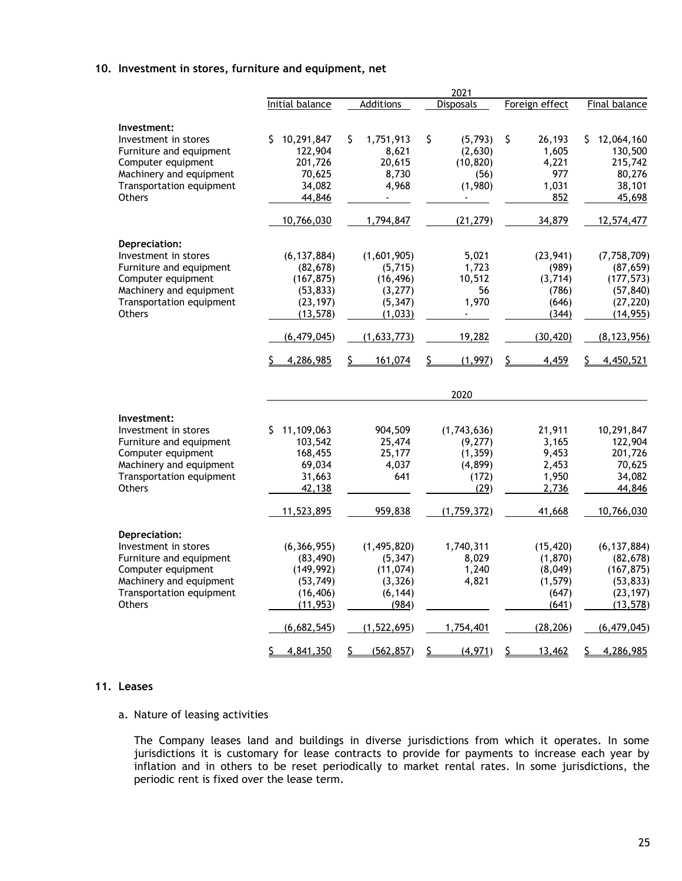|                                     |                  |                  | 2021             |                     |                  |
|-------------------------------------|------------------|------------------|------------------|---------------------|------------------|
|                                     | Initial balance  | Additions        | <b>Disposals</b> | Foreign effect      | Final balance    |
|                                     |                  |                  |                  |                     |                  |
| Investment:                         | Ś.               |                  |                  |                     |                  |
| Investment in stores                | 10,291,847       | Ś.<br>1,751,913  | \$<br>(5,793)    | \$<br>26,193        | Ś.<br>12,064,160 |
| Furniture and equipment             | 122,904          | 8,621            | (2,630)          | 1,605               | 130,500          |
| Computer equipment                  | 201,726          | 20,615           | (10, 820)        | 4,221               | 215,742          |
| Machinery and equipment             | 70,625           | 8,730            | (56)             | 977                 | 80,276           |
| Transportation equipment            | 34,082           | 4,968            | (1,980)          | 1,031               | 38,101           |
| <b>Others</b>                       | 44,846           | ä,               | ÷,               | 852                 | 45,698           |
|                                     | 10,766,030       | 1,794,847        | (21, 279)        | 34,879              | 12,574,477       |
| Depreciation:                       |                  |                  |                  |                     |                  |
| Investment in stores                | (6, 137, 884)    | (1,601,905)      | 5,021            | (23, 941)           | (7, 758, 709)    |
| Furniture and equipment             | (82, 678)        | (5,715)          | 1,723            | (989)               | (87, 659)        |
| Computer equipment                  | (167, 875)       | (16, 496)        | 10,512           | (3,714)             | (177, 573)       |
| Machinery and equipment             | (53, 833)        | (3, 277)         | 56               | (786)               | (57, 840)        |
| Transportation equipment            | (23, 197)        | (5, 347)         | 1,970            | (646)               | (27, 220)        |
| <b>Others</b>                       | (13, 578)        | (1,033)          |                  | (344)               | (14, 955)        |
|                                     |                  |                  |                  |                     |                  |
|                                     | (6,479,045)      | (1,633,773)      | 19,282           | (30, 420)           | (8, 123, 956)    |
|                                     | 4,286,985<br>S   | 161,074<br>S.    | (1,997)<br>S     | 4,459<br>S          | 4,450,521<br>S   |
|                                     |                  |                  | 2020             |                     |                  |
|                                     |                  |                  |                  |                     |                  |
| Investment:<br>Investment in stores | Ś.<br>11,109,063 | 904,509          | (1,743,636)      | 21,911              | 10,291,847       |
| Furniture and equipment             | 103,542          | 25,474           | (9, 277)         | 3,165               | 122,904          |
| Computer equipment                  | 168,455          | 25,177           | (1, 359)         | 9,453               | 201,726          |
| Machinery and equipment             |                  |                  |                  |                     |                  |
|                                     | 69,034           | 4,037            | (4, 899)         | 2,453               | 70,625           |
| Transportation equipment            | 31,663           | 641              | (172)            | 1,950               | 34,082           |
| <b>Others</b>                       | 42,138           |                  | (29)             | 2,736               | 44,846           |
|                                     | 11,523,895       | 959,838          | (1,759,372)      | 41,668              | 10,766,030       |
| Depreciation:                       |                  |                  |                  |                     |                  |
| Investment in stores                | (6, 366, 955)    | (1, 495, 820)    | 1,740,311        | (15, 420)           | (6, 137, 884)    |
| Furniture and equipment             | (83, 490)        | (5, 347)         | 8,029            | (1, 870)            | (82, 678)        |
| Computer equipment                  | (149, 992)       | (11, 074)        | 1,240            | (8,049)             | (167, 875)       |
| Machinery and equipment             | (53, 749)        | (3,326)          | 4,821            | (1, 579)            | (53, 833)        |
| Transportation equipment            | (16, 406)        | (6, 144)         |                  | (647)               | (23, 197)        |
| <b>Others</b>                       | (11, 953)        | (984)            |                  | (641)               | (13, 578)        |
|                                     |                  |                  |                  |                     |                  |
|                                     | (6,682,545)      | (1,522,695)      | 1,754,401        | (28, 206)           | (6, 479, 045)    |
|                                     | \$<br>4,841,350  | \$<br>(562, 857) | Ś<br>(4, 971)    | <u>\$</u><br>13,462 | \$<br>4,286,985  |

# **10. Investment in stores, furniture and equipment, net**

# **11. Leases**

# a. Nature of leasing activities

The Company leases land and buildings in diverse jurisdictions from which it operates. In some jurisdictions it is customary for lease contracts to provide for payments to increase each year by inflation and in others to be reset periodically to market rental rates. In some jurisdictions, the periodic rent is fixed over the lease term.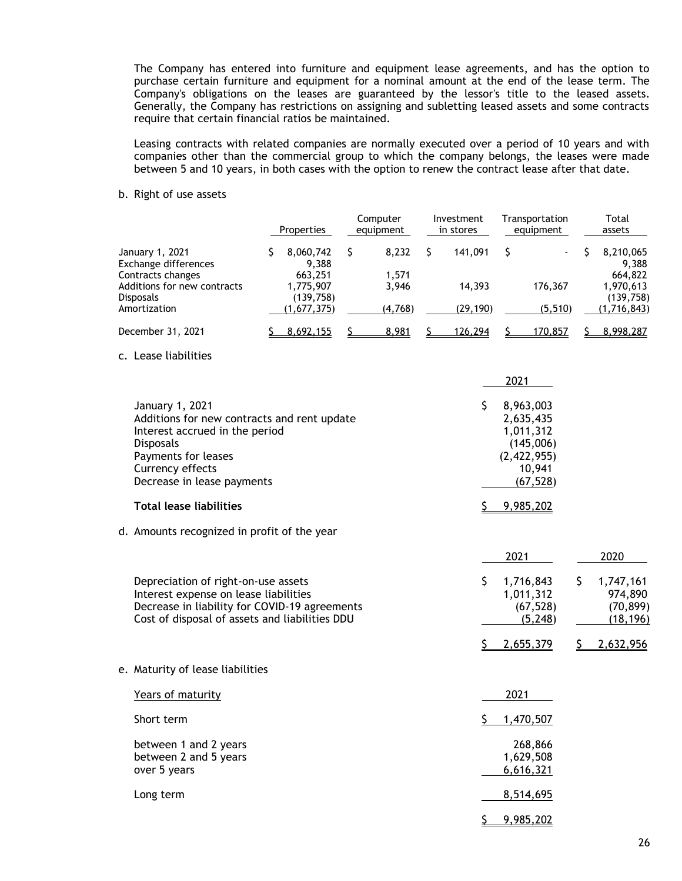The Company has entered into furniture and equipment lease agreements, and has the option to purchase certain furniture and equipment for a nominal amount at the end of the lease term. The Company's obligations on the leases are guaranteed by the lessor's title to the leased assets. Generally, the Company has restrictions on assigning and subletting leased assets and some contracts require that certain financial ratios be maintained.

Leasing contracts with related companies are normally executed over a period of 10 years and with companies other than the commercial group to which the company belongs, the leases were made between 5 and 10 years, in both cases with the option to renew the contract lease after that date.

b. Right of use assets

|                             | Properties  | Computer<br>equipment | Investment<br>in stores | Transportation<br>equipment | Total<br>assets |
|-----------------------------|-------------|-----------------------|-------------------------|-----------------------------|-----------------|
| January 1, 2021             | 8,060,742   | 8,232                 | 141,091                 | $\blacksquare$              | 8,210,065       |
| Exchange differences        | 9,388       |                       |                         |                             | 9,388           |
| Contracts changes           | 663,251     | 1,571                 |                         |                             | 664,822         |
| Additions for new contracts | 1,775,907   | 3,946                 | 14.393                  | 176,367                     | 1,970,613       |
| <b>Disposals</b>            | (139, 758)  |                       |                         |                             | (139, 758)      |
| Amortization                | (1,677,375) | (4,768)               | (29, 190)               | (5, 510)                    | (1,716,843)     |
| December 31, 2021           | 8,692,155   | 8,981                 | 126,294                 | 170,857                     | 8,998,287       |

 $2021$ 

c. Lease liabilities

|                                                                                                                                                                                               | ZUZ I                                                                                                                                             |
|-----------------------------------------------------------------------------------------------------------------------------------------------------------------------------------------------|---------------------------------------------------------------------------------------------------------------------------------------------------|
| January 1, 2021<br>Additions for new contracts and rent update<br>Interest accrued in the period<br><b>Disposals</b><br>Payments for leases<br>Currency effects<br>Decrease in lease payments | \$<br>8,963,003<br>2,635,435<br>1,011,312<br>(145,006)<br>(2,422,955)<br>10,941<br>(67, 528)                                                      |
| <b>Total lease liabilities</b>                                                                                                                                                                | 9,985,202                                                                                                                                         |
| d. Amounts recognized in profit of the year                                                                                                                                                   |                                                                                                                                                   |
|                                                                                                                                                                                               | 2021<br>2020                                                                                                                                      |
| Depreciation of right-on-use assets<br>Interest expense on lease liabilities<br>Decrease in liability for COVID-19 agreements<br>Cost of disposal of assets and liabilities DDU               | \$<br>\$<br>1,716,843<br>1,747,161<br>1,011,312<br>974,890<br>(67, 528)<br>(70, 899)<br>(18, 196)<br>(5, 248)<br>2,655,379<br>2,632,956<br>S<br>S |
| e. Maturity of lease liabilities                                                                                                                                                              |                                                                                                                                                   |
| Years of maturity                                                                                                                                                                             | 2021                                                                                                                                              |
| Short term                                                                                                                                                                                    | 1,470,507                                                                                                                                         |
| between 1 and 2 years<br>between 2 and 5 years<br>over 5 years                                                                                                                                | 268,866<br>1,629,508<br>6,616,321                                                                                                                 |
| Long term                                                                                                                                                                                     | 8,514,695                                                                                                                                         |
|                                                                                                                                                                                               | \$<br>9,985,202                                                                                                                                   |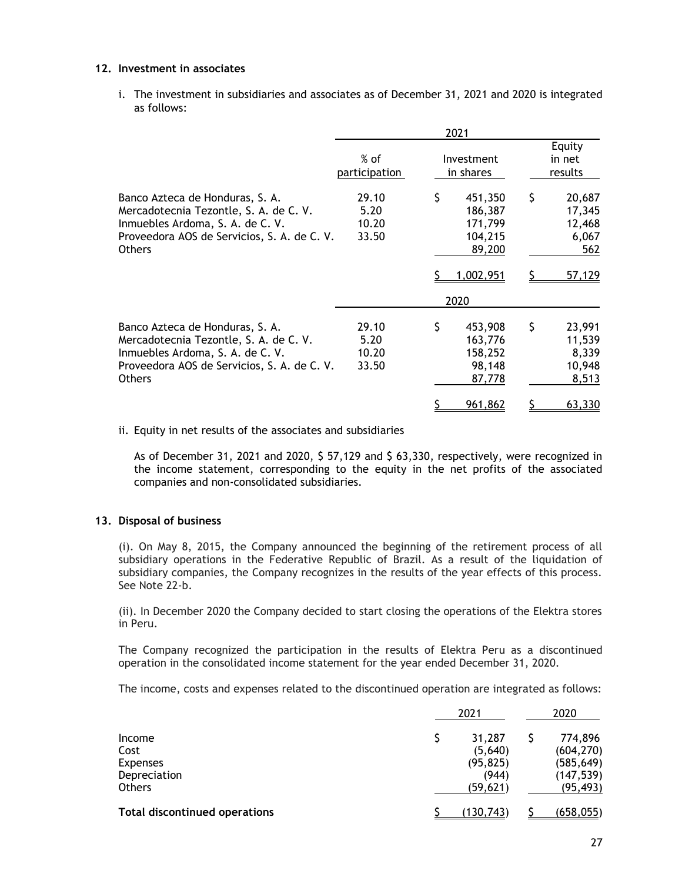## **12. Investment in associates**

i. The investment in subsidiaries and associates as of December 31, 2021 and 2020 is integrated as follows:

|                                                                                                                                                                               | 2021                            |      |                                                                 |    |                                                      |
|-------------------------------------------------------------------------------------------------------------------------------------------------------------------------------|---------------------------------|------|-----------------------------------------------------------------|----|------------------------------------------------------|
|                                                                                                                                                                               | $%$ of<br>participation         |      | Investment<br>in shares                                         |    | Equity<br>in net<br>results                          |
| Banco Azteca de Honduras, S. A.<br>Mercadotecnia Tezontle, S. A. de C. V.<br>Inmuebles Ardoma, S. A. de C. V.<br>Proveedora AOS de Servicios, S. A. de C. V.<br><b>Others</b> | 29.10<br>5.20<br>10.20<br>33.50 | S    | 451,350<br>186,387<br>171,799<br>104,215<br>89,200<br>1,002,951 | \$ | 20,687<br>17,345<br>12,468<br>6,067<br>562<br>57,129 |
|                                                                                                                                                                               |                                 | 2020 |                                                                 |    |                                                      |
| Banco Azteca de Honduras, S. A.<br>Mercadotecnia Tezontle, S. A. de C. V.<br>Inmuebles Ardoma, S. A. de C. V.<br>Proveedora AOS de Servicios, S. A. de C. V.<br><b>Others</b> | 29.10<br>5.20<br>10.20<br>33.50 | S    | 453,908<br>163,776<br>158,252<br>98,148<br>87,778               | \$ | 23,991<br>11,539<br>8,339<br>10,948<br>8,513         |
|                                                                                                                                                                               |                                 |      | 961,862                                                         |    | 63,330                                               |

# ii. Equity in net results of the associates and subsidiaries

As of December 31, 2021 and 2020, \$ 57,129 and \$ 63,330, respectively, were recognized in the income statement, corresponding to the equity in the net profits of the associated companies and non-consolidated subsidiaries.

# **13. Disposal of business**

(i). On May 8, 2015, the Company announced the beginning of the retirement process of all subsidiary operations in the Federative Republic of Brazil. As a result of the liquidation of subsidiary companies, the Company recognizes in the results of the year effects of this process. See Note 22-b.

(ii). In December 2020 the Company decided to start closing the operations of the Elektra stores in Peru.

The Company recognized the participation in the results of Elektra Peru as a discontinued operation in the consolidated income statement for the year ended December 31, 2020.

The income, costs and expenses related to the discontinued operation are integrated as follows:

|                                                             | 2021                                                 |  |                                                               |
|-------------------------------------------------------------|------------------------------------------------------|--|---------------------------------------------------------------|
| Income<br>Cost<br><b>Expenses</b><br>Depreciation<br>Others | 31,287<br>(5,640)<br>(95, 825)<br>(944)<br>(59, 621) |  | 774,896<br>(604, 270)<br>(585, 649)<br>(147, 539)<br>(95,493) |
| <b>Total discontinued operations</b>                        | (130.743)                                            |  | (658, 055)                                                    |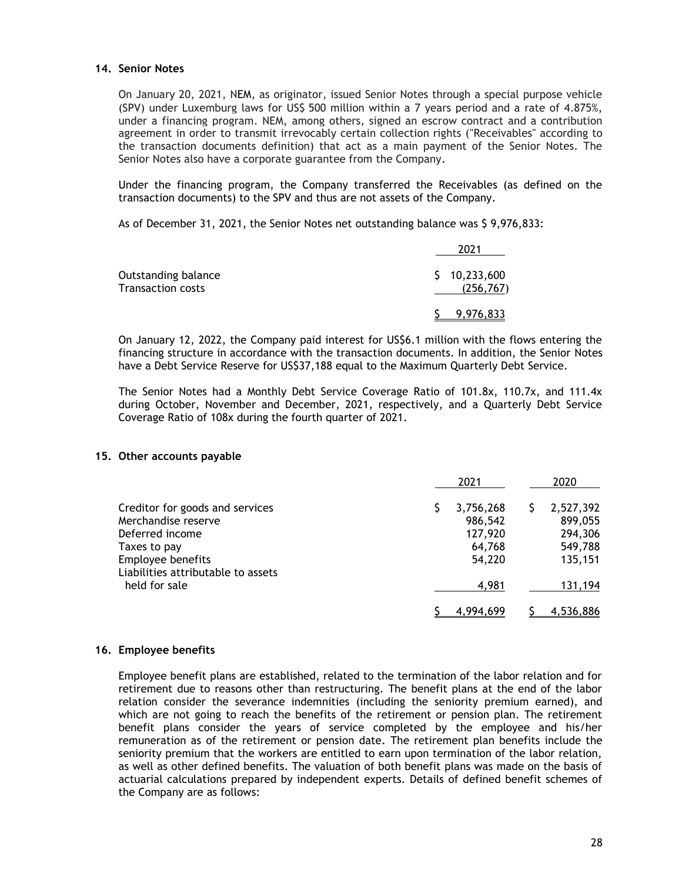#### **14. Senior Notes**

On January 20, 2021, NEM, as originator, issued Senior Notes through a special purpose vehicle (SPV) under Luxemburg laws for US\$ 500 million within a 7 years period and a rate of 4.875%, under a financing program. NEM, among others, signed an escrow contract and a contribution agreement in order to transmit irrevocably certain collection rights ("Receivables" according to the transaction documents definition) that act as a main payment of the Senior Notes. The Senior Notes also have a corporate guarantee from the Company.

Under the financing program, the Company transferred the Receivables (as defined on the transaction documents) to the SPV and thus are not assets of the Company.

As of December 31, 2021, the Senior Notes net outstanding balance was \$ 9,976,833:

|                                                 | 2021                       |  |
|-------------------------------------------------|----------------------------|--|
| Outstanding balance<br><b>Transaction costs</b> | \$10,233,600<br>(256, 767) |  |
|                                                 | 9,976,833                  |  |

On January 12, 2022, the Company paid interest for US\$6.1 million with the flows entering the financing structure in accordance with the transaction documents. In addition, the Senior Notes have a Debt Service Reserve for US\$37,188 equal to the Maximum Quarterly Debt Service.

The Senior Notes had a Monthly Debt Service Coverage Ratio of 101.8x, 110.7x, and 111.4x during October, November and December, 2021, respectively, and a Quarterly Debt Service Coverage Ratio of 108x during the fourth quarter of 2021.

## **15. Other accounts payable**

|                                                                                                                                                      | 2021                                                | 2020                                                  |
|------------------------------------------------------------------------------------------------------------------------------------------------------|-----------------------------------------------------|-------------------------------------------------------|
| Creditor for goods and services<br>Merchandise reserve<br>Deferred income<br>Taxes to pay<br>Employee benefits<br>Liabilities attributable to assets | 3,756,268<br>986,542<br>127,920<br>64,768<br>54,220 | 2,527,392<br>899,055<br>294,306<br>549,788<br>135,151 |
| held for sale                                                                                                                                        | 4,981                                               | 131,194                                               |
|                                                                                                                                                      | 4,994,699                                           | 4,536,886                                             |

#### **16. Employee benefits**

Employee benefit plans are established, related to the termination of the labor relation and for retirement due to reasons other than restructuring. The benefit plans at the end of the labor relation consider the severance indemnities (including the seniority premium earned), and which are not going to reach the benefits of the retirement or pension plan. The retirement benefit plans consider the years of service completed by the employee and his/her remuneration as of the retirement or pension date. The retirement plan benefits include the seniority premium that the workers are entitled to earn upon termination of the labor relation, as well as other defined benefits. The valuation of both benefit plans was made on the basis of actuarial calculations prepared by independent experts. Details of defined benefit schemes of the Company are as follows: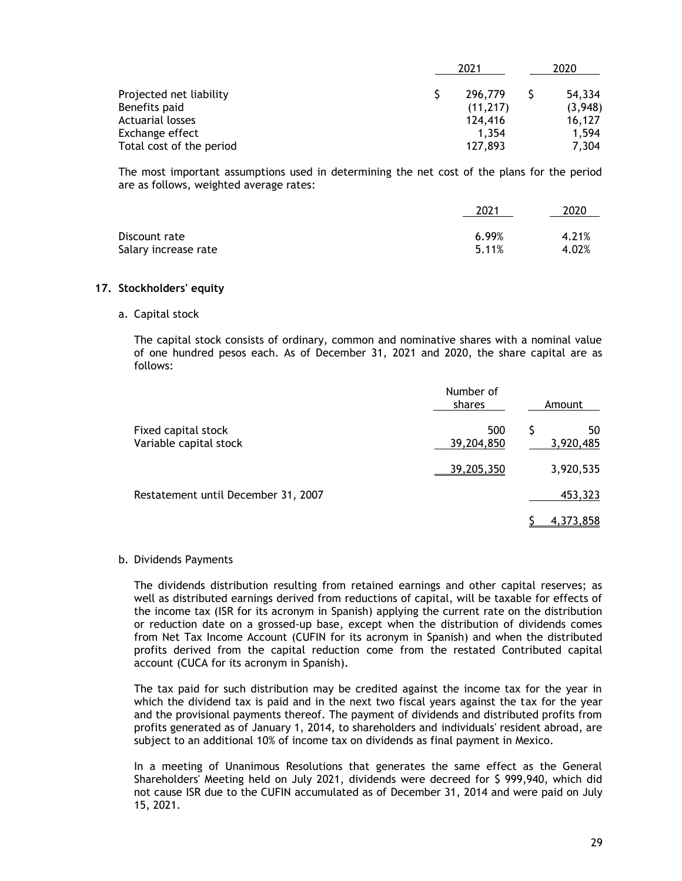|                          | 2021      | 2020    |
|--------------------------|-----------|---------|
| Projected net liability  | 296,779   | 54,334  |
| Benefits paid            | (11, 217) | (3,948) |
| Actuarial losses         | 124,416   | 16.127  |
| Exchange effect          | 1.354     | 1.594   |
| Total cost of the period | 127,893   | 7.304   |

The most important assumptions used in determining the net cost of the plans for the period are as follows, weighted average rates:

|                      | 2021  | 2020  |
|----------------------|-------|-------|
| Discount rate        | 6.99% | 4.21% |
| Salary increase rate | 5.11% | 4.02% |

#### **17. Stockholders' equity**

#### a. Capital stock

The capital stock consists of ordinary, common and nominative shares with a nominal value of one hundred pesos each. As of December 31, 2021 and 2020, the share capital are as follows:

|                                               | Number of<br>shares |   | Amount          |
|-----------------------------------------------|---------------------|---|-----------------|
| Fixed capital stock<br>Variable capital stock | 500<br>39,204,850   | S | 50<br>3,920,485 |
|                                               | 39,205,350          |   | 3,920,535       |
| Restatement until December 31, 2007           |                     |   | 453,323         |
|                                               |                     |   | 4,373,858       |

#### b. Dividends Payments

The dividends distribution resulting from retained earnings and other capital reserves; as well as distributed earnings derived from reductions of capital, will be taxable for effects of the income tax (ISR for its acronym in Spanish) applying the current rate on the distribution or reduction date on a grossed-up base, except when the distribution of dividends comes from Net Tax Income Account (CUFIN for its acronym in Spanish) and when the distributed profits derived from the capital reduction come from the restated Contributed capital account (CUCA for its acronym in Spanish).

The tax paid for such distribution may be credited against the income tax for the year in which the dividend tax is paid and in the next two fiscal years against the tax for the year and the provisional payments thereof. The payment of dividends and distributed profits from profits generated as of January 1, 2014, to shareholders and individuals' resident abroad, are subject to an additional 10% of income tax on dividends as final payment in Mexico.

In a meeting of Unanimous Resolutions that generates the same effect as the General Shareholders' Meeting held on July 2021, dividends were decreed for \$ 999,940, which did not cause ISR due to the CUFIN accumulated as of December 31, 2014 and were paid on July 15, 2021.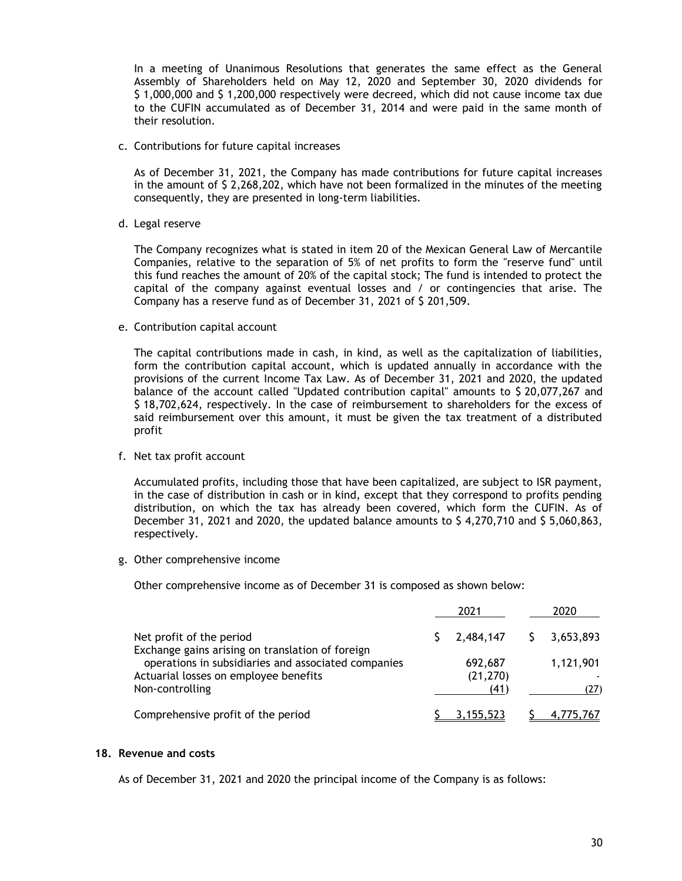In a meeting of Unanimous Resolutions that generates the same effect as the General Assembly of Shareholders held on May 12, 2020 and September 30, 2020 dividends for \$ 1,000,000 and \$ 1,200,000 respectively were decreed, which did not cause income tax due to the CUFIN accumulated as of December 31, 2014 and were paid in the same month of their resolution.

c. Contributions for future capital increases

As of December 31, 2021, the Company has made contributions for future capital increases in the amount of \$ 2,268,202, which have not been formalized in the minutes of the meeting consequently, they are presented in long-term liabilities.

d. Legal reserve

The Company recognizes what is stated in item 20 of the Mexican General Law of Mercantile Companies, relative to the separation of 5% of net profits to form the "reserve fund" until this fund reaches the amount of 20% of the capital stock; The fund is intended to protect the capital of the company against eventual losses and / or contingencies that arise. The Company has a reserve fund as of December 31, 2021 of \$ 201,509.

e. Contribution capital account

The capital contributions made in cash, in kind, as well as the capitalization of liabilities, form the contribution capital account, which is updated annually in accordance with the provisions of the current Income Tax Law. As of December 31, 2021 and 2020, the updated balance of the account called "Updated contribution capital" amounts to \$ 20,077,267 and \$ 18,702,624, respectively. In the case of reimbursement to shareholders for the excess of said reimbursement over this amount, it must be given the tax treatment of a distributed profit

f. Net tax profit account

Accumulated profits, including those that have been capitalized, are subject to ISR payment, in the case of distribution in cash or in kind, except that they correspond to profits pending distribution, on which the tax has already been covered, which form the CUFIN. As of December 31, 2021 and 2020, the updated balance amounts to \$ 4,270,710 and \$ 5,060,863, respectively.

g. Other comprehensive income

Other comprehensive income as of December 31 is composed as shown below:

|                                                                                                                                                                     | 2021                         | 2020              |
|---------------------------------------------------------------------------------------------------------------------------------------------------------------------|------------------------------|-------------------|
| Net profit of the period                                                                                                                                            | 2,484,147 \$                 | 3,653,893         |
| Exchange gains arising on translation of foreign<br>operations in subsidiaries and associated companies<br>Actuarial losses on employee benefits<br>Non-controlling | 692,687<br>(21, 270)<br>(41) | 1,121,901<br>(27) |
| Comprehensive profit of the period                                                                                                                                  | 3,155,523                    | 4,775,767         |

## **18. Revenue and costs**

As of December 31, 2021 and 2020 the principal income of the Company is as follows: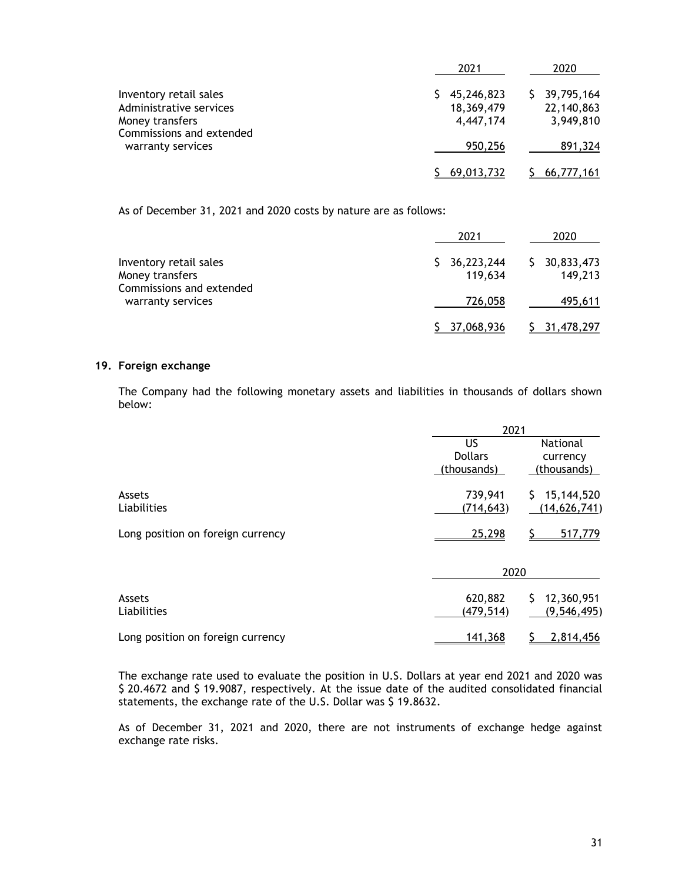|                                             | 2021       | 2020         |
|---------------------------------------------|------------|--------------|
| Inventory retail sales                      | 45,246,823 | \$39,795,164 |
| Administrative services                     | 18,369,479 | 22,140,863   |
| Money transfers<br>Commissions and extended | 4.447.174  | 3,949,810    |
| warranty services                           | 950,256    | 891,324      |
|                                             | 69,013,732 | 66,777,161   |

As of December 31, 2021 and 2020 costs by nature are as follows:

|                                               | 2021                  | 2020                    |
|-----------------------------------------------|-----------------------|-------------------------|
| Inventory retail sales<br>Money transfers     | 36,223,244<br>119.634 | \$30,833,473<br>149,213 |
| Commissions and extended<br>warranty services | 726,058               | 495,611                 |
|                                               | 37,068,936            | 31,478,297              |

# **19. Foreign exchange**

The Company had the following monetary assets and liabilities in thousands of dollars shown below:

| 2021                  |                                |  |
|-----------------------|--------------------------------|--|
| US                    | National                       |  |
| <b>Dollars</b>        | currency                       |  |
| (thousands)           | (thousands)                    |  |
| 739,941<br>(714, 643) | \$15,144,520<br>(14, 626, 741) |  |
| 25,298                | 517,779                        |  |
|                       |                                |  |

|                                   | 2020                 |                             |
|-----------------------------------|----------------------|-----------------------------|
| Assets<br>Liabilities             | 620.882<br>(479.514) | \$12,360,951<br>(9,546,495) |
| Long position on foreign currency | 141,368              | 2,814,456                   |

The exchange rate used to evaluate the position in U.S. Dollars at year end 2021 and 2020 was \$ 20.4672 and \$ 19.9087, respectively. At the issue date of the audited consolidated financial statements, the exchange rate of the U.S. Dollar was \$ 19.8632.

As of December 31, 2021 and 2020, there are not instruments of exchange hedge against exchange rate risks.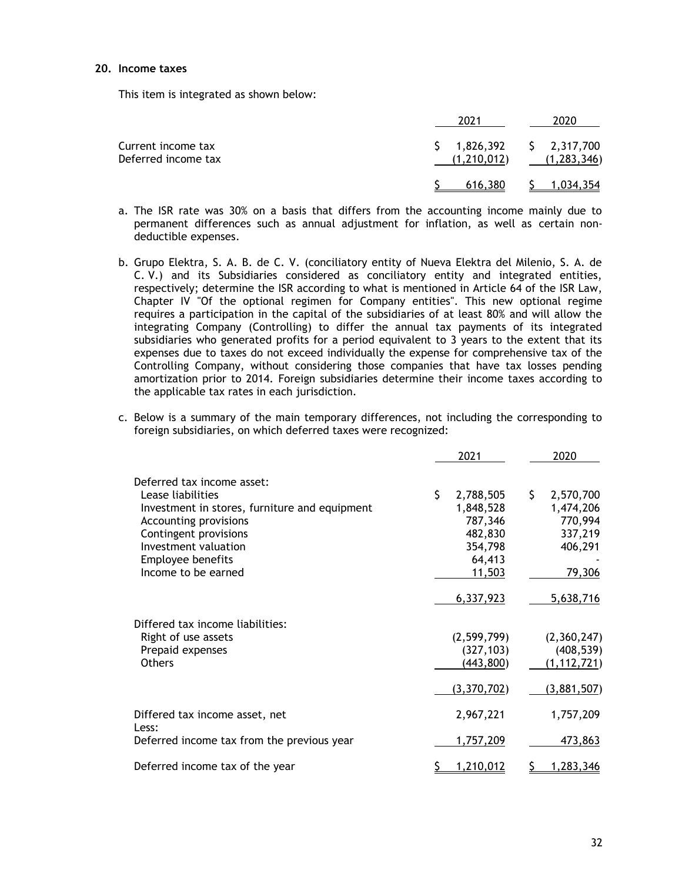#### **20. Income taxes**

This item is integrated as shown below:

|                                           | 2021    | 2020                                                     |
|-------------------------------------------|---------|----------------------------------------------------------|
| Current income tax<br>Deferred income tax |         | $$1,826,392 \t$2,317,700$<br>$(1,210,012)$ $(1,283,346)$ |
|                                           | 616,380 | \$ 1,034,354                                             |

- a. The ISR rate was 30% on a basis that differs from the accounting income mainly due to permanent differences such as annual adjustment for inflation, as well as certain nondeductible expenses.
- b. Grupo Elektra, S. A. B. de C. V. (conciliatory entity of Nueva Elektra del Milenio, S. A. de C. V.) and its Subsidiaries considered as conciliatory entity and integrated entities, respectively; determine the ISR according to what is mentioned in Article 64 of the ISR Law, Chapter IV "Of the optional regimen for Company entities". This new optional regime requires a participation in the capital of the subsidiaries of at least 80% and will allow the integrating Company (Controlling) to differ the annual tax payments of its integrated subsidiaries who generated profits for a period equivalent to 3 years to the extent that its expenses due to taxes do not exceed individually the expense for comprehensive tax of the Controlling Company, without considering those companies that have tax losses pending amortization prior to 2014. Foreign subsidiaries determine their income taxes according to the applicable tax rates in each jurisdiction.
- c. Below is a summary of the main temporary differences, not including the corresponding to foreign subsidiaries, on which deferred taxes were recognized:

|                                                 | 2021            | 2020            |
|-------------------------------------------------|-----------------|-----------------|
| Deferred tax income asset:<br>Lease liabilities | \$<br>2,788,505 | \$<br>2,570,700 |
| Investment in stores, furniture and equipment   | 1,848,528       | 1,474,206       |
| Accounting provisions                           | 787,346         | 770,994         |
| Contingent provisions                           | 482,830         | 337,219         |
| Investment valuation                            | 354,798         | 406,291         |
| Employee benefits                               | 64,413          |                 |
| Income to be earned                             | 11,503          | 79,306          |
|                                                 | 6,337,923       | 5,638,716       |
| Differed tax income liabilities:                |                 |                 |
| Right of use assets                             | (2,599,799)     | (2,360,247)     |
| Prepaid expenses                                | (327, 103)      | (408, 539)      |
| <b>Others</b>                                   | (443, 800)      | (1, 112, 721)   |
|                                                 | (3,370,702)     | (3,881,507)     |
| Differed tax income asset, net<br>Less:         | 2,967,221       | 1,757,209       |
| Deferred income tax from the previous year      | 1,757,209       | 473,863         |
| Deferred income tax of the year                 | 1,210,012       | 1,283,346       |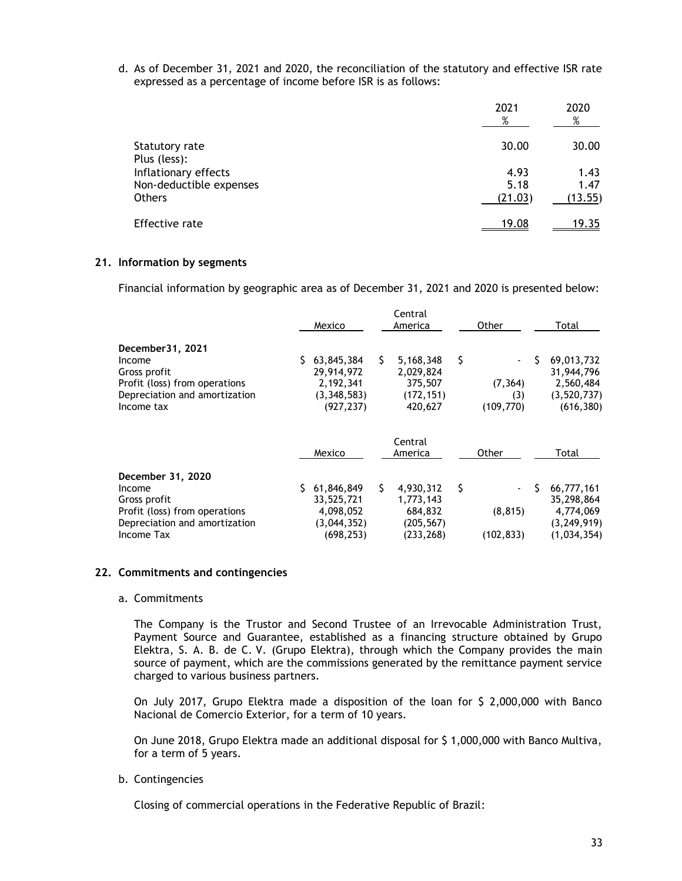d. As of December 31, 2021 and 2020, the reconciliation of the statutory and effective ISR rate expressed as a percentage of income before ISR is as follows:

|                         | 2021<br>% | 2020<br>% |
|-------------------------|-----------|-----------|
| Statutory rate          | 30.00     | 30.00     |
| Plus (less):            |           |           |
| Inflationary effects    | 4.93      | 1.43      |
| Non-deductible expenses | 5.18      | 1.47      |
| <b>Others</b>           | (21.03)   | (13.55)   |
| Effective rate          | 19.08     | 19.35     |

#### **21. Information by segments**

Financial information by geographic area as of December 31, 2021 and 2020 is presented below:

|                                                                                                                             | Mexico                                                             | Central<br>America                                                  | Other                              | Total                                                                      |
|-----------------------------------------------------------------------------------------------------------------------------|--------------------------------------------------------------------|---------------------------------------------------------------------|------------------------------------|----------------------------------------------------------------------------|
| December 31, 2021<br>Income<br>Gross profit<br>Profit (loss) from operations<br>Depreciation and amortization<br>Income tax | 63,845,384<br>29,914,972<br>2,192,341<br>(3,348,583)<br>(927, 237) | S.<br>5,168,348<br>2,029,824<br>375,507<br>(172, 151)<br>420,627    | S<br>(7, 364)<br>(3)<br>(109, 770) | 69,013,732<br>S<br>31,944,796<br>2,560,484<br>(3,520,737)<br>(616, 380)    |
|                                                                                                                             | Mexico                                                             | Central<br>America                                                  | Other                              | Total                                                                      |
| December 31, 2020<br>Income<br>Gross profit<br>Profit (loss) from operations<br>Depreciation and amortization<br>Income Tax | 61,846,849<br>33,525,721<br>4,098,052<br>(3,044,352)<br>(698, 253) | S.<br>4,930,312<br>1,773,143<br>684,832<br>(205, 567)<br>(233, 268) | \$<br>(8, 815)<br>(102, 833)       | 66,777,161<br>S<br>35,298,864<br>4,774,069<br>(3, 249, 919)<br>(1,034,354) |

#### **22. Commitments and contingencies**

#### a. Commitments

The Company is the Trustor and Second Trustee of an Irrevocable Administration Trust, Payment Source and Guarantee, established as a financing structure obtained by Grupo Elektra, S. A. B. de C. V. (Grupo Elektra), through which the Company provides the main source of payment, which are the commissions generated by the remittance payment service charged to various business partners.

On July 2017, Grupo Elektra made a disposition of the loan for \$ 2,000,000 with Banco Nacional de Comercio Exterior, for a term of 10 years.

On June 2018, Grupo Elektra made an additional disposal for \$ 1,000,000 with Banco Multiva, for a term of 5 years.

## b. Contingencies

Closing of commercial operations in the Federative Republic of Brazil: